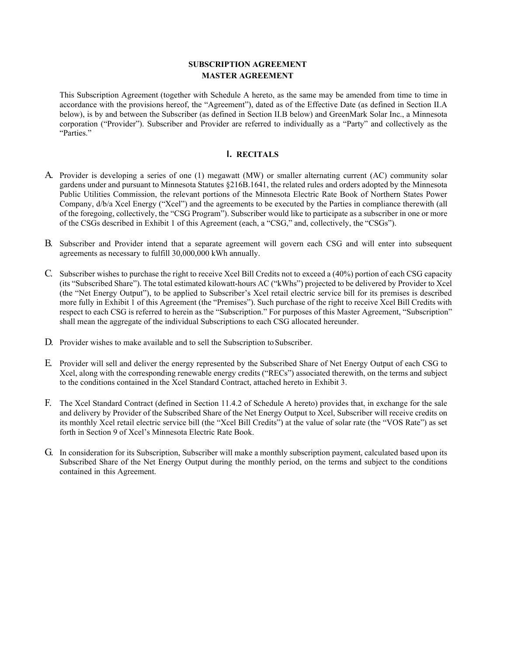# **SUBSCRIPTION AGREEMENT MASTER AGREEMENT**

This Subscription Agreement (together with Schedule A hereto, as the same may be amended from time to time in accordance with the provisions hereof, the "Agreement"), dated as of the Effective Date (as defined in Section II.A below), is by and between the Subscriber (as defined in Section II.B below) and GreenMark Solar Inc., a Minnesota corporation ("Provider"). Subscriber and Provider are referred to individually as a "Party" and collectively as the "Parties."

## **I. RECITALS**

- A. Provider is developing a series of one (1) megawatt (MW) or smaller alternating current (AC) community solar gardens under and pursuant to Minnesota Statutes §216B.1641, the related rules and orders adopted by the Minnesota Public Utilities Commission, the relevant portions of the Minnesota Electric Rate Book of Northern States Power Company, d/b/a Xcel Energy ("Xcel") and the agreements to be executed by the Parties in compliance therewith (all of the foregoing, collectively, the "CSG Program"). Subscriber would like to participate as a subscriber in one or more of the CSGs described in Exhibit 1 of this Agreement (each, a "CSG," and, collectively, the "CSGs").
- B. Subscriber and Provider intend that a separate agreement will govern each CSG and will enter into subsequent agreements as necessary to fulfill 30,000,000 kWh annually.
- C. Subscriber wishes to purchase the right to receive Xcel Bill Credits not to exceed a (40%) portion of each CSG capacity (its "Subscribed Share"). The total estimated kilowatt-hours AC ("kWhs") projected to be delivered by Provider to Xcel (the "Net Energy Output"), to be applied to Subscriber's Xcel retail electric service bill for its premises is described more fully in Exhibit 1 of this Agreement (the "Premises"). Such purchase of the right to receive Xcel Bill Credits with respect to each CSG is referred to herein as the "Subscription." For purposes of this Master Agreement, "Subscription" shall mean the aggregate of the individual Subscriptions to each CSG allocated hereunder.
- D. Provider wishes to make available and to sell the Subscription to Subscriber.
- E. Provider will sell and deliver the energy represented by the Subscribed Share of Net Energy Output of each CSG to Xcel, along with the corresponding renewable energy credits ("RECs") associated therewith, on the terms and subject to the conditions contained in the Xcel Standard Contract, attached hereto in Exhibit 3.
- F. The Xcel Standard Contract (defined in Section 11.4.2 of Schedule A hereto) provides that, in exchange for the sale and delivery by Provider of the Subscribed Share of the Net Energy Output to Xcel, Subscriber will receive credits on its monthly Xcel retail electric service bill (the "Xcel Bill Credits") at the value of solar rate (the "VOS Rate") as set forth in Section 9 of Xcel's Minnesota Electric Rate Book.
- G. In consideration for its Subscription, Subscriber will make a monthly subscription payment, calculated based upon its Subscribed Share of the Net Energy Output during the monthly period, on the terms and subject to the conditions contained in this Agreement.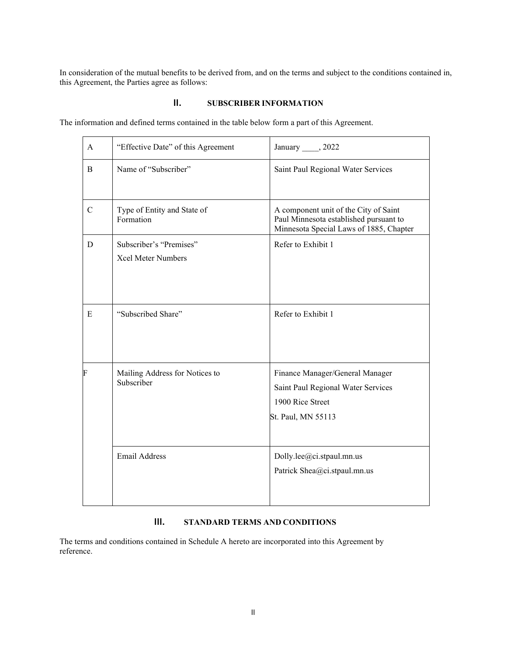In consideration of the mutual benefits to be derived from, and on the terms and subject to the conditions contained in, this Agreement, the Parties agree as follows:

# **II. SUBSCRIBER INFORMATION**

The information and defined terms contained in the table below form a part of this Agreement.

| $\mathsf{A}$  | "Effective Date" of this Agreement                   | January _____, 2022                                                                                                        |
|---------------|------------------------------------------------------|----------------------------------------------------------------------------------------------------------------------------|
| <sub>B</sub>  | Name of "Subscriber"                                 | Saint Paul Regional Water Services                                                                                         |
| $\mathcal{C}$ | Type of Entity and State of<br>Formation             | A component unit of the City of Saint<br>Paul Minnesota established pursuant to<br>Minnesota Special Laws of 1885, Chapter |
| D             | Subscriber's "Premises"<br><b>Xcel Meter Numbers</b> | Refer to Exhibit 1                                                                                                         |
| E             | "Subscribed Share"                                   | Refer to Exhibit 1                                                                                                         |
| F             | Mailing Address for Notices to<br>Subscriber         | Finance Manager/General Manager<br>Saint Paul Regional Water Services<br>1900 Rice Street<br>St. Paul, MN 55113            |
|               | <b>Email Address</b>                                 | Dolly.lee@ci.stpaul.mn.us<br>Patrick Shea@ci.stpaul.mn.us                                                                  |

# **III. STANDARD TERMS AND CONDITIONS**

The terms and conditions contained in Schedule A hereto are incorporated into this Agreement by reference.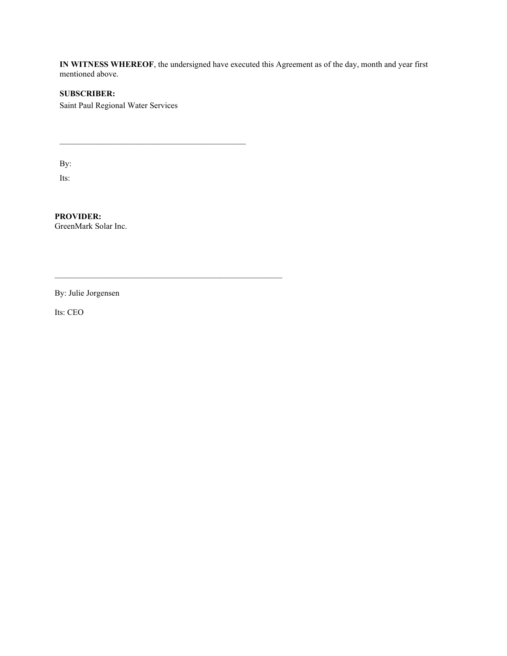**IN WITNESS WHEREOF**, the undersigned have executed this Agreement as of the day, month and year first mentioned above.

# **SUBSCRIBER:**

Saint Paul Regional Water Services

 $\_$  ,  $\_$  ,  $\_$  ,  $\_$  ,  $\_$  ,  $\_$  ,  $\_$  ,  $\_$  ,  $\_$  ,  $\_$  ,  $\_$  ,  $\_$  ,  $\_$  ,  $\_$  ,  $\_$ 

\_\_\_\_\_\_\_\_\_\_\_\_\_\_\_\_\_\_\_\_\_\_\_\_\_\_\_\_\_\_\_\_\_\_\_\_\_\_\_\_\_\_\_\_\_\_\_\_\_\_\_\_\_\_\_

By:

Its:

**PROVIDER:** GreenMark Solar Inc.

By: Julie Jorgensen

Its: CEO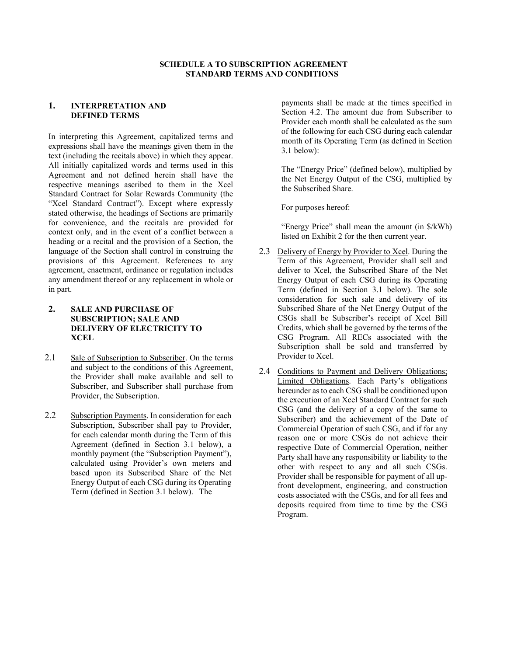## **SCHEDULE A TO SUBSCRIPTION AGREEMENT STANDARD TERMS AND CONDITIONS**

#### **1. INTERPRETATION AND DEFINED TERMS**

In interpreting this Agreement, capitalized terms and expressions shall have the meanings given them in the text (including the recitals above) in which they appear. All initially capitalized words and terms used in this Agreement and not defined herein shall have the respective meanings ascribed to them in the Xcel Standard Contract for Solar Rewards Community (the "Xcel Standard Contract"). Except where expressly stated otherwise, the headings of Sections are primarily for convenience, and the recitals are provided for context only, and in the event of a conflict between a heading or a recital and the provision of a Section, the language of the Section shall control in construing the provisions of this Agreement. References to any agreement, enactment, ordinance or regulation includes any amendment thereof or any replacement in whole or in part.

- **2. SALE AND PURCHASE OF SUBSCRIPTION; SALE AND DELIVERY OF ELECTRICITY TO XCEL**
- 2.1 Sale of Subscription to Subscriber. On the terms and subject to the conditions of this Agreement, the Provider shall make available and sell to Subscriber, and Subscriber shall purchase from Provider, the Subscription.
- 2.2 Subscription Payments. In consideration for each Subscription, Subscriber shall pay to Provider, for each calendar month during the Term of this Agreement (defined in Section 3.1 below), a monthly payment (the "Subscription Payment"), calculated using Provider's own meters and based upon its Subscribed Share of the Net Energy Output of each CSG during its Operating Term (defined in Section 3.1 below). The

payments shall be made at the times specified in Section 4.2. The amount due from Subscriber to Provider each month shall be calculated as the sum of the following for each CSG during each calendar month of its Operating Term (as defined in Section 3.1 below):

The "Energy Price" (defined below), multiplied by the Net Energy Output of the CSG, multiplied by the Subscribed Share.

For purposes hereof:

"Energy Price" shall mean the amount (in \$/kWh) listed on Exhibit 2 for the then current year.

- 2.3 Delivery of Energy by Provider to Xcel. During the Term of this Agreement, Provider shall sell and deliver to Xcel, the Subscribed Share of the Net Energy Output of each CSG during its Operating Term (defined in Section 3.1 below). The sole consideration for such sale and delivery of its Subscribed Share of the Net Energy Output of the CSGs shall be Subscriber's receipt of Xcel Bill Credits, which shall be governed by the terms of the CSG Program. All RECs associated with the Subscription shall be sold and transferred by Provider to Xcel.
- 2.4 Conditions to Payment and Delivery Obligations; Limited Obligations. Each Party's obligations hereunder as to each CSG shall be conditioned upon the execution of an Xcel Standard Contract for such CSG (and the delivery of a copy of the same to Subscriber) and the achievement of the Date of Commercial Operation of such CSG, and if for any reason one or more CSGs do not achieve their respective Date of Commercial Operation, neither Party shall have any responsibility or liability to the other with respect to any and all such CSGs. Provider shall be responsible for payment of all upfront development, engineering, and construction costs associated with the CSGs, and for all fees and deposits required from time to time by the CSG Program.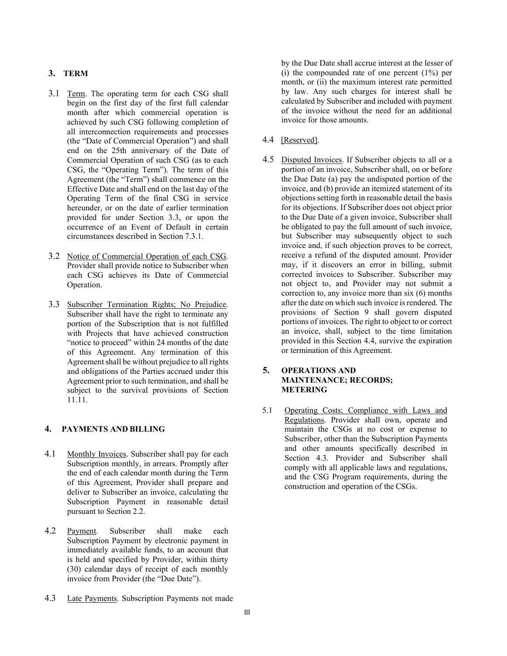## **3. TERM**

- 3.1 Term. The operating term for each CSG shall begin on the first day of the first full calendar month after which commercial operation is achieved by such CSG following completion of all interconnection requirements and processes (the "Date of Commercial Operation") and shall end on the 25th anniversary of the Date of Commercial Operation of such CSG (as to each CSG, the "Operating Term"). The term of this Agreement (the "Term") shall commence on the Effective Date and shall end on the last day of the Operating Term of the final CSG in service hereunder, or on the date of earlier termination provided for under Section 3.3, or upon the occurrence of an Event of Default in certain circumstances described in Section 7.3.1.
- 3.2 Notice of Commercial Operation of each CSG. Provider shall provide notice to Subscriber when each CSG achieves its Date of Commercial Operation.
- 3.3 Subscriber Termination Rights; No Prejudice. Subscriber shall have the right to terminate any portion of the Subscription that is not fulfilled with Projects that have achieved construction "notice to proceed" within 24 months of the date of this Agreement. Any termination of this Agreement shall be without prejudice to all rights and obligations of the Parties accrued under this Agreement prior to such termination, and shall be subject to the survival provisions of Section 11.11.

#### **4. PAYMENTS AND BILLING**

- 4.1 Monthly Invoices. Subscriber shall pay for each Subscription monthly, in arrears. Promptly after the end of each calendar month during the Term of this Agreement, Provider shall prepare and deliver to Subscriber an invoice, calculating the Subscription Payment in reasonable detail pursuant to Section 2.2.
- 4.2 Payment. Subscriber shall make each Subscription Payment by electronic payment in immediately available funds, to an account that is held and specified by Provider, within thirty (30) calendar days of receipt of each monthly invoice from Provider (the "Due Date").
- 4.3 Late Payments. Subscription Payments not made

by the Due Date shall accrue interest at the lesser of (i) the compounded rate of one percent (1%) per month, or (ii) the maximum interest rate permitted by law. Any such charges for interest shall be calculated by Subscriber and included with payment of the invoice without the need for an additional invoice for those amounts.

- 4.4 [Reserved].
- 4.5 Disputed Invoices. If Subscriber objects to all or a portion of an invoice, Subscriber shall, on or before the Due Date (a) pay the undisputed portion of the invoice, and (b) provide an itemized statement of its objections setting forth in reasonable detail the basis for its objections. If Subscriber does not object prior to the Due Date of a given invoice, Subscriber shall be obligated to pay the full amount of such invoice, but Subscriber may subsequently object to such invoice and, if such objection proves to be correct, receive a refund of the disputed amount. Provider may, if it discovers an error in billing, submit corrected invoices to Subscriber. Subscriber may not object to, and Provider may not submit a correction to, any invoice more than six (6) months after the date on which such invoice is rendered. The provisions of Section 9 shall govern disputed portions of invoices. The right to object to or correct an invoice, shall, subject to the time limitation provided in this Section 4.4, survive the expiration or termination of this Agreement.

## **5. OPERATIONS AND MAINTENANCE; RECORDS; METERING**

5.1 Operating Costs; Compliance with Laws and Regulations. Provider shall own, operate and maintain the CSGs at no cost or expense to Subscriber, other than the Subscription Payments and other amounts specifically described in Section 4.3. Provider and Subscriber shall comply with all applicable laws and regulations, and the CSG Program requirements, during the construction and operation of the CSGs.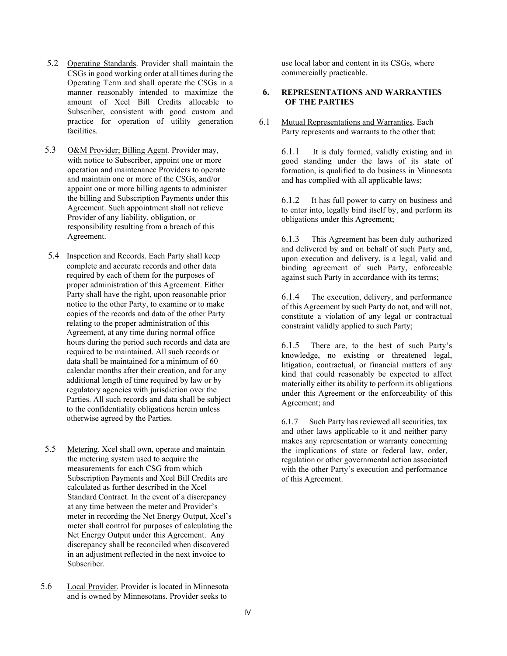- 5.2 Operating Standards. Provider shall maintain the CSGs in good working order at all times during the Operating Term and shall operate the CSGs in a manner reasonably intended to maximize the amount of Xcel Bill Credits allocable to Subscriber, consistent with good custom and practice for operation of utility generation facilities.
- 5.3 O&M Provider; Billing Agent*.* Provider may, with notice to Subscriber, appoint one or more operation and maintenance Providers to operate and maintain one or more of the CSGs, and/or appoint one or more billing agents to administer the billing and Subscription Payments under this Agreement. Such appointment shall not relieve Provider of any liability, obligation, or responsibility resulting from a breach of this Agreement.
- 5.4 Inspection and Records. Each Party shall keep complete and accurate records and other data required by each of them for the purposes of proper administration of this Agreement. Either Party shall have the right, upon reasonable prior notice to the other Party, to examine or to make copies of the records and data of the other Party relating to the proper administration of this Agreement, at any time during normal office hours during the period such records and data are required to be maintained. All such records or data shall be maintained for a minimum of 60 calendar months after their creation, and for any additional length of time required by law or by regulatory agencies with jurisdiction over the Parties. All such records and data shall be subject to the confidentiality obligations herein unless otherwise agreed by the Parties.
- 5.5 Metering. Xcel shall own, operate and maintain the metering system used to acquire the measurements for each CSG from which Subscription Payments and Xcel Bill Credits are calculated as further described in the Xcel Standard Contract. In the event of a discrepancy at any time between the meter and Provider's meter in recording the Net Energy Output, Xcel's meter shall control for purposes of calculating the Net Energy Output under this Agreement. Any discrepancy shall be reconciled when discovered in an adjustment reflected in the next invoice to Subscriber.
- 5.6 Local Provider. Provider is located in Minnesota and is owned by Minnesotans. Provider seeks to

use local labor and content in its CSGs, where commercially practicable.

## **6. REPRESENTATIONS AND WARRANTIES OF THE PARTIES**

6.1 Mutual Representations and Warranties. Each Party represents and warrants to the other that:

> 6.1.1 It is duly formed, validly existing and in good standing under the laws of its state of formation, is qualified to do business in Minnesota and has complied with all applicable laws;

> 6.1.2 It has full power to carry on business and to enter into, legally bind itself by, and perform its obligations under this Agreement;

> 6.1.3 This Agreement has been duly authorized and delivered by and on behalf of such Party and, upon execution and delivery, is a legal, valid and binding agreement of such Party, enforceable against such Party in accordance with its terms;

> 6.1.4 The execution, delivery, and performance of this Agreement by such Party do not, and will not, constitute a violation of any legal or contractual constraint validly applied to such Party;

> 6.1.5 There are, to the best of such Party's knowledge, no existing or threatened legal, litigation, contractual, or financial matters of any kind that could reasonably be expected to affect materially either its ability to perform its obligations under this Agreement or the enforceability of this Agreement; and

6.1.7 Such Party has reviewed all securities, tax and other laws applicable to it and neither party makes any representation or warranty concerning the implications of state or federal law, order, regulation or other governmental action associated with the other Party's execution and performance of this Agreement.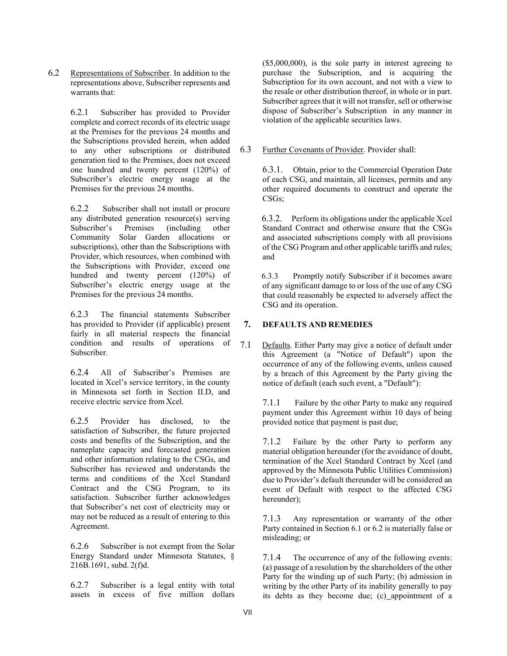6.2 Representations of Subscriber. In addition to the representations above, Subscriber represents and warrants that:

> 6.2.1 Subscriber has provided to Provider complete and correct records of its electric usage at the Premises for the previous 24 months and the Subscriptions provided herein, when added to any other subscriptions or distributed generation tied to the Premises, does not exceed one hundred and twenty percent (120%) of Subscriber's electric energy usage at the Premises for the previous 24 months.

6.2.2 Subscriber shall not install or procure any distributed generation resource(s) serving Subscriber's Premises (including other Community Solar Garden allocations or subscriptions), other than the Subscriptions with Provider, which resources, when combined with the Subscriptions with Provider, exceed one hundred and twenty percent (120%) of Subscriber's electric energy usage at the Premises for the previous 24 months.

6.2.3 The financial statements Subscriber has provided to Provider (if applicable) present fairly in all material respects the financial condition and results of operations of Subscriber.

6.2.4 All of Subscriber's Premises are located in Xcel's service territory, in the county in Minnesota set forth in Section II.D, and receive electric service from Xcel.

6.2.5 Provider has disclosed, to the satisfaction of Subscriber, the future projected costs and benefits of the Subscription, and the nameplate capacity and forecasted generation and other information relating to the CSGs, and Subscriber has reviewed and understands the terms and conditions of the Xcel Standard Contract and the CSG Program, to its satisfaction. Subscriber further acknowledges that Subscriber's net cost of electricity may or may not be reduced as a result of entering to this Agreement.

6.2.6 Subscriber is not exempt from the Solar Energy Standard under Minnesota Statutes, § 216B.1691, subd. 2(f)d.

6.2.7 Subscriber is a legal entity with total assets in excess of five million dollars

(\$5,000,000), is the sole party in interest agreeing to purchase the Subscription, and is acquiring the Subscription for its own account, and not with a view to the resale or other distribution thereof, in whole or in part. Subscriber agrees that it will not transfer, sell or otherwise dispose of Subscriber's Subscription in any manner in violation of the applicable securities laws.

6.3 Further Covenants of Provider. Provider shall:

6.3.1. Obtain, prior to the Commercial Operation Date of each CSG, and maintain, all licenses, permits and any other required documents to construct and operate the CSGs;

6.3.2. Perform its obligations under the applicable Xcel Standard Contract and otherwise ensure that the CSGs and associated subscriptions comply with all provisions of the CSG Program and other applicable tariffs and rules; and

6.3.3 Promptly notify Subscriber if it becomes aware of any significant damage to or loss of the use of any CSG that could reasonably be expected to adversely affect the CSG and its operation.

## **7. DEFAULTS AND REMEDIES**

7.1 Defaults. Either Party may give a notice of default under this Agreement (a "Notice of Default") upon the occurrence of any of the following events, unless caused by a breach of this Agreement by the Party giving the notice of default (each such event, a "Default"):

> 7.1.1 Failure by the other Party to make any required payment under this Agreement within 10 days of being provided notice that payment is past due;

> 7.1.2 Failure by the other Party to perform any material obligation hereunder (for the avoidance of doubt, termination of the Xcel Standard Contract by Xcel (and approved by the Minnesota Public Utilities Commission) due to Provider's default thereunder will be considered an event of Default with respect to the affected CSG hereunder);

> 7.1.3 Any representation or warranty of the other Party contained in Section 6.1 or 6.2 is materially false or misleading; or

> 7.1.4 The occurrence of any of the following events: (a) passage of a resolution by the shareholders of the other Party for the winding up of such Party; (b) admission in writing by the other Party of its inability generally to pay its debts as they become due; (c) appointment of a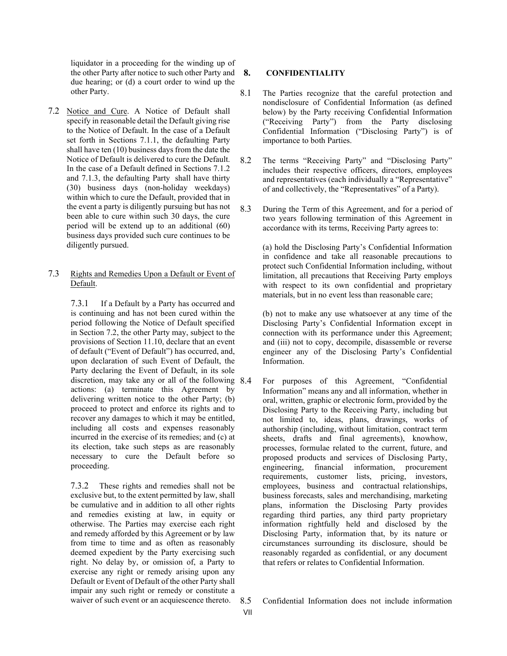liquidator in a proceeding for the winding up of the other Party after notice to such other Party and 8. due hearing; or (d) a court order to wind up the other Party.

7.2 Notice and Cure. A Notice of Default shall specify in reasonable detail the Default giving rise to the Notice of Default. In the case of a Default set forth in Sections 7.1.1, the defaulting Party shall have ten (10) business days from the date the Notice of Default is delivered to cure the Default. In the case of a Default defined in Sections 7.1.2 and 7.1.3, the defaulting Party shall have thirty (30) business days (non-holiday weekdays) within which to cure the Default, provided that in the event a party is diligently pursuing but has not been able to cure within such 30 days, the cure period will be extend up to an additional (60) business days provided such cure continues to be diligently pursued.

#### 7.3 Rights and Remedies Upon a Default or Event of Default.

7.3.1 If a Default by a Party has occurred and is continuing and has not been cured within the period following the Notice of Default specified in Section 7.2, the other Party may, subject to the provisions of Section 11.10, declare that an event of default ("Event of Default") has occurred, and, upon declaration of such Event of Default, the Party declaring the Event of Default, in its sole discretion, may take any or all of the following 8.4 actions: (a) terminate this Agreement by delivering written notice to the other Party; (b) proceed to protect and enforce its rights and to recover any damages to which it may be entitled, including all costs and expenses reasonably incurred in the exercise of its remedies; and (c) at its election, take such steps as are reasonably necessary to cure the Default before so proceeding.

7.3.2 These rights and remedies shall not be exclusive but, to the extent permitted by law, shall be cumulative and in addition to all other rights and remedies existing at law, in equity or otherwise. The Parties may exercise each right and remedy afforded by this Agreement or by law from time to time and as often as reasonably deemed expedient by the Party exercising such right. No delay by, or omission of, a Party to exercise any right or remedy arising upon any Default or Event of Default of the other Party shall impair any such right or remedy or constitute a waiver of such event or an acquiescence thereto.

## **8. CONFIDENTIALITY**

- 8.1 The Parties recognize that the careful protection and nondisclosure of Confidential Information (as defined below) by the Party receiving Confidential Information ("Receiving Party") from the Party disclosing Confidential Information ("Disclosing Party") is of importance to both Parties.
- 8.2 The terms "Receiving Party" and "Disclosing Party" includes their respective officers, directors, employees and representatives (each individually a "Representative" of and collectively, the "Representatives" of a Party).
- 8.3 During the Term of this Agreement, and for a period of two years following termination of this Agreement in accordance with its terms, Receiving Party agrees to:

(a) hold the Disclosing Party's Confidential Information in confidence and take all reasonable precautions to protect such Confidential Information including, without limitation, all precautions that Receiving Party employs with respect to its own confidential and proprietary materials, but in no event less than reasonable care;

(b) not to make any use whatsoever at any time of the Disclosing Party's Confidential Information except in connection with its performance under this Agreement; and (iii) not to copy, decompile, disassemble or reverse engineer any of the Disclosing Party's Confidential Information.

8.4 For purposes of this Agreement, "Confidential Information" means any and all information, whether in oral, written, graphic or electronic form, provided by the Disclosing Party to the Receiving Party, including but not limited to, ideas, plans, drawings, works of authorship (including, without limitation, contract term sheets, drafts and final agreements), knowhow, processes, formulae related to the current, future, and proposed products and services of Disclosing Party,<br>engineering, financial information, procurement engineering, financial information, procurement requirements, customer lists, pricing, investors, employees, business and contractual relationships, business forecasts, sales and merchandising, marketing plans, information the Disclosing Party provides regarding third parties, any third party proprietary information rightfully held and disclosed by the Disclosing Party, information that, by its nature or circumstances surrounding its disclosure, should be reasonably regarded as confidential, or any document that refers or relates to Confidential Information.

8.5 Confidential Information does not include information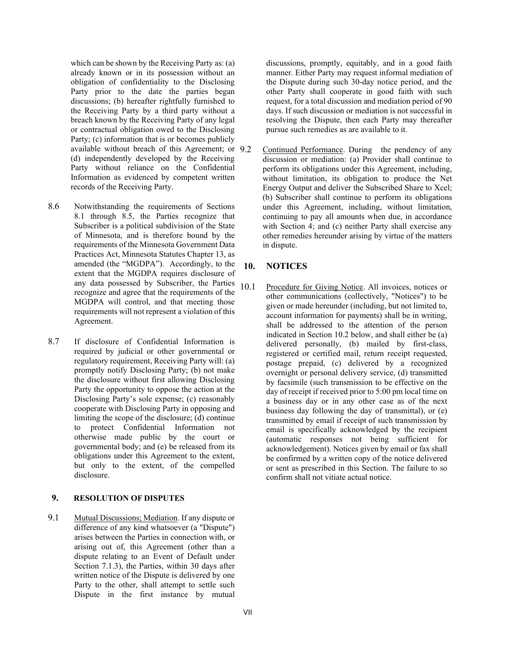which can be shown by the Receiving Party as: (a) already known or in its possession without an obligation of confidentiality to the Disclosing Party prior to the date the parties began discussions; (b) hereafter rightfully furnished to the Receiving Party by a third party without a breach known by the Receiving Party of any legal or contractual obligation owed to the Disclosing Party; (c) information that is or becomes publicly available without breach of this Agreement; or 9.2 (d) independently developed by the Receiving Party without reliance on the Confidential Information as evidenced by competent written records of the Receiving Party.

- 8.6 Notwithstanding the requirements of Sections 8.1 through 8.5, the Parties recognize that Subscriber is a political subdivision of the State of Minnesota, and is therefore bound by the requirements of the Minnesota Government Data Practices Act, Minnesota Statutes Chapter 13, as amended (the "MGDPA"). Accordingly, to the extent that the MGDPA requires disclosure of any data possessed by Subscriber, the Parties recognize and agree that the requirements of the MGDPA will control, and that meeting those requirements will not represent a violation of this Agreement.
- 8.7 If disclosure of Confidential Information is required by judicial or other governmental or regulatory requirement, Receiving Party will: (a) promptly notify Disclosing Party; (b) not make the disclosure without first allowing Disclosing Party the opportunity to oppose the action at the Disclosing Party's sole expense; (c) reasonably cooperate with Disclosing Party in opposing and limiting the scope of the disclosure; (d) continue to protect Confidential Information not otherwise made public by the court or governmental body; and (e) be released from its obligations under this Agreement to the extent, but only to the extent, of the compelled disclosure.

## **9. RESOLUTION OF DISPUTES**

9.1 Mutual Discussions; Mediation. If any dispute or difference of any kind whatsoever (a "Dispute") arises between the Parties in connection with, or arising out of, this Agreement (other than a dispute relating to an Event of Default under Section 7.1.3), the Parties, within 30 days after written notice of the Dispute is delivered by one Party to the other, shall attempt to settle such Dispute in the first instance by mutual

discussions, promptly, equitably, and in a good faith manner. Either Party may request informal mediation of the Dispute during such 30-day notice period, and the other Party shall cooperate in good faith with such request, for a total discussion and mediation period of 90 days. If such discussion or mediation is not successful in resolving the Dispute, then each Party may thereafter pursue such remedies as are available to it.

Continued Performance. During the pendency of any discussion or mediation: (a) Provider shall continue to perform its obligations under this Agreement, including, without limitation, its obligation to produce the Net Energy Output and deliver the Subscribed Share to Xcel; (b) Subscriber shall continue to perform its obligations under this Agreement, including, without limitation, continuing to pay all amounts when due, in accordance with Section 4; and (c) neither Party shall exercise any other remedies hereunder arising by virtue of the matters in dispute.

# **10. NOTICES**

10.1 Procedure for Giving Notice. All invoices, notices or other communications (collectively, "Notices") to be given or made hereunder (including, but not limited to, account information for payments) shall be in writing, shall be addressed to the attention of the person indicated in Section 10.2 below, and shall either be (a) delivered personally, (b) mailed by first-class, registered or certified mail, return receipt requested, postage prepaid, (c) delivered by a recognized overnight or personal delivery service, (d) transmitted by facsimile (such transmission to be effective on the day of receipt if received prior to 5:00 pm local time on a business day or in any other case as of the next business day following the day of transmittal), or (e) transmitted by email if receipt of such transmission by email is specifically acknowledged by the recipient (automatic responses not being sufficient for acknowledgement). Notices given by email or fax shall be confirmed by a written copy of the notice delivered or sent as prescribed in this Section. The failure to so confirm shall not vitiate actual notice.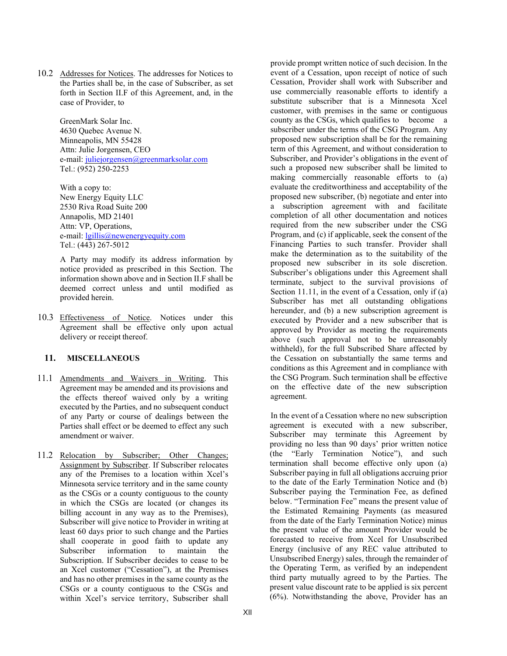10.2 Addresses for Notices. The addresses for Notices to the Parties shall be, in the case of Subscriber, as set forth in Section II.F of this Agreement, and, in the case of Provider, to

> GreenMark Solar Inc. 4630 Quebec Avenue N. Minneapolis, MN 55428 Attn: Julie Jorgensen, CEO e-mail: [juliejorgensen@greenmarksolar.com](mailto:juliejorgensen@greenmarksolar.com) Tel.: (952) 250-2253

With a copy to: New Energy Equity LLC 2530 Riva Road Suite 200 Annapolis, MD 21401 Attn: VP, Operations, e-mail: [lgillis@newenergyequity.com](mailto:lgillis@newenergyequity.com) Tel.: (443) 267-5012

A Party may modify its address information by notice provided as prescribed in this Section. The information shown above and in Section II.F shall be deemed correct unless and until modified as provided herein.

10.3 Effectiveness of Notice. Notices under this Agreement shall be effective only upon actual delivery or receipt thereof.

# **11. MISCELLANEOUS**

- 11.1 Amendments and Waivers in Writing. This Agreement may be amended and its provisions and the effects thereof waived only by a writing executed by the Parties, and no subsequent conduct of any Party or course of dealings between the Parties shall effect or be deemed to effect any such amendment or waiver.
- 11.2 Relocation by Subscriber; Other Changes; Assignment by Subscriber. If Subscriber relocates any of the Premises to a location within Xcel's Minnesota service territory and in the same county as the CSGs or a county contiguous to the county in which the CSGs are located (or changes its billing account in any way as to the Premises), Subscriber will give notice to Provider in writing at least 60 days prior to such change and the Parties shall cooperate in good faith to update any Subscriber information to maintain the Subscription. If Subscriber decides to cease to be an Xcel customer ("Cessation"), at the Premises and has no other premises in the same county as the CSGs or a county contiguous to the CSGs and within Xcel's service territory, Subscriber shall

provide prompt written notice of such decision. In the event of a Cessation, upon receipt of notice of such Cessation, Provider shall work with Subscriber and use commercially reasonable efforts to identify a substitute subscriber that is a Minnesota Xcel customer, with premises in the same or contiguous county as the CSGs, which qualifies to become a subscriber under the terms of the CSG Program. Any proposed new subscription shall be for the remaining term of this Agreement, and without consideration to Subscriber, and Provider's obligations in the event of such a proposed new subscriber shall be limited to making commercially reasonable efforts to (a) evaluate the creditworthiness and acceptability of the proposed new subscriber, (b) negotiate and enter into a subscription agreement with and facilitate completion of all other documentation and notices required from the new subscriber under the CSG Program, and (c) if applicable, seek the consent of the Financing Parties to such transfer. Provider shall make the determination as to the suitability of the proposed new subscriber in its sole discretion. Subscriber's obligations under this Agreement shall terminate, subject to the survival provisions of Section 11.11, in the event of a Cessation, only if (a) Subscriber has met all outstanding obligations hereunder, and (b) a new subscription agreement is executed by Provider and a new subscriber that is approved by Provider as meeting the requirements above (such approval not to be unreasonably withheld), for the full Subscribed Share affected by the Cessation on substantially the same terms and conditions as this Agreement and in compliance with the CSG Program. Such termination shall be effective on the effective date of the new subscription agreement.

In the event of a Cessation where no new subscription agreement is executed with a new subscriber, Subscriber may terminate this Agreement by providing no less than 90 days' prior written notice (the "Early Termination Notice"), and such termination shall become effective only upon (a) Subscriber paying in full all obligations accruing prior to the date of the Early Termination Notice and (b) Subscriber paying the Termination Fee, as defined below. "Termination Fee" means the present value of the Estimated Remaining Payments (as measured from the date of the Early Termination Notice) minus the present value of the amount Provider would be forecasted to receive from Xcel for Unsubscribed Energy (inclusive of any REC value attributed to Unsubscribed Energy) sales, through the remainder of the Operating Term, as verified by an independent third party mutually agreed to by the Parties. The present value discount rate to be applied is six percent (6%). Notwithstanding the above, Provider has an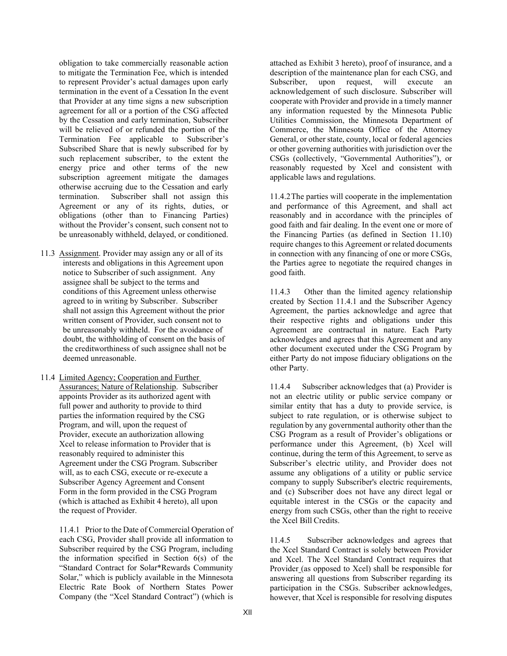obligation to take commercially reasonable action to mitigate the Termination Fee, which is intended to represent Provider's actual damages upon early termination in the event of a Cessation In the event that Provider at any time signs a new subscription agreement for all or a portion of the CSG affected by the Cessation and early termination, Subscriber will be relieved of or refunded the portion of the Termination Fee applicable to Subscriber's Subscribed Share that is newly subscribed for by such replacement subscriber, to the extent the energy price and other terms of the new subscription agreement mitigate the damages otherwise accruing due to the Cessation and early termination. Subscriber shall not assign this Agreement or any of its rights, duties, or obligations (other than to Financing Parties) without the Provider's consent, such consent not to be unreasonably withheld, delayed, or conditioned.

- 11.3 Assignment. Provider may assign any or all of its interests and obligations in this Agreement upon notice to Subscriber of such assignment. Any assignee shall be subject to the terms and conditions of this Agreement unless otherwise agreed to in writing by Subscriber. Subscriber shall not assign this Agreement without the prior written consent of Provider, such consent not to be unreasonably withheld. For the avoidance of doubt, the withholding of consent on the basis of the creditworthiness of such assignee shall not be deemed unreasonable.
- 11.4 Limited Agency; Cooperation and Further Assurances; Nature of Relationship. Subscriber appoints Provider as its authorized agent with full power and authority to provide to third parties the information required by the CSG Program, and will, upon the request of Provider, execute an authorization allowing Xcel to release information to Provider that is reasonably required to administer this Agreement under the CSG Program. Subscriber will, as to each CSG, execute or re-execute a Subscriber Agency Agreement and Consent Form in the form provided in the CSG Program (which is attached as Exhibit 4 hereto), all upon the request of Provider.

11.4.1 Prior to the Date of Commercial Operation of each CSG, Provider shall provide all information to Subscriber required by the CSG Program, including the information specified in Section 6(s) of the "Standard Contract for Solar\*Rewards Community Solar," which is publicly available in the Minnesota Electric Rate Book of Northern States Power Company (the "Xcel Standard Contract") (which is

attached as Exhibit 3 hereto), proof of insurance, and a description of the maintenance plan for each CSG, and Subscriber, upon request, will execute an acknowledgement of such disclosure. Subscriber will cooperate with Provider and provide in a timely manner any information requested by the Minnesota Public Utilities Commission, the Minnesota Department of Commerce, the Minnesota Office of the Attorney General, or other state, county, local or federal agencies or other governing authorities with jurisdiction over the CSGs (collectively, "Governmental Authorities"), or reasonably requested by Xcel and consistent with applicable laws and regulations.

11.4.2The parties will cooperate in the implementation and performance of this Agreement, and shall act reasonably and in accordance with the principles of good faith and fair dealing. In the event one or more of the Financing Parties (as defined in Section 11.10) require changes to this Agreement or related documents in connection with any financing of one or more CSGs, the Parties agree to negotiate the required changes in good faith.

11.4.3 Other than the limited agency relationship created by Section 11.4.1 and the Subscriber Agency Agreement, the parties acknowledge and agree that their respective rights and obligations under this Agreement are contractual in nature. Each Party acknowledges and agrees that this Agreement and any other document executed under the CSG Program by either Party do not impose fiduciary obligations on the other Party.

11.4.4 Subscriber acknowledges that (a) Provider is not an electric utility or public service company or similar entity that has a duty to provide service, is subject to rate regulation, or is otherwise subject to regulation by any governmental authority other than the CSG Program as a result of Provider's obligations or performance under this Agreement, (b) Xcel will continue, during the term of this Agreement, to serve as Subscriber's electric utility, and Provider does not assume any obligations of a utility or public service company to supply Subscriber's electric requirements, and (c) Subscriber does not have any direct legal or equitable interest in the CSGs or the capacity and energy from such CSGs, other than the right to receive the Xcel Bill Credits.

11.4.5 Subscriber acknowledges and agrees that the Xcel Standard Contract is solely between Provider and Xcel. The Xcel Standard Contract requires that Provider (as opposed to Xcel) shall be responsible for answering all questions from Subscriber regarding its participation in the CSGs. Subscriber acknowledges, however, that Xcel is responsible for resolving disputes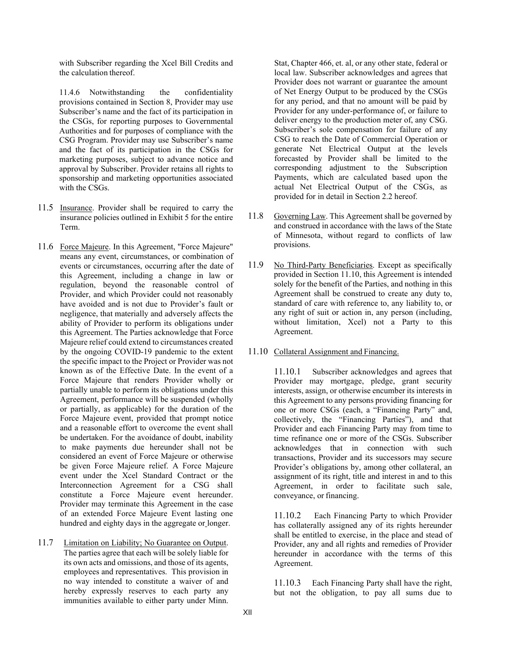with Subscriber regarding the Xcel Bill Credits and the calculation thereof.

11.4.6 Notwithstanding the confidentiality provisions contained in Section 8, Provider may use Subscriber's name and the fact of its participation in the CSGs, for reporting purposes to Governmental Authorities and for purposes of compliance with the CSG Program. Provider may use Subscriber's name and the fact of its participation in the CSGs for marketing purposes, subject to advance notice and approval by Subscriber. Provider retains all rights to sponsorship and marketing opportunities associated with the CSGs.

- 11.5 Insurance. Provider shall be required to carry the insurance policies outlined in Exhibit 5 for the entire Term.
- 11.6 Force Majeure. In this Agreement, "Force Majeure" means any event, circumstances, or combination of events or circumstances, occurring after the date of this Agreement, including a change in law or regulation, beyond the reasonable control of Provider, and which Provider could not reasonably have avoided and is not due to Provider's fault or negligence, that materially and adversely affects the ability of Provider to perform its obligations under this Agreement. The Parties acknowledge that Force Majeure relief could extend to circumstances created by the ongoing COVID-19 pandemic to the extent the specific impact to the Project or Provider was not known as of the Effective Date. In the event of a Force Majeure that renders Provider wholly or partially unable to perform its obligations under this Agreement, performance will be suspended (wholly or partially, as applicable) for the duration of the Force Majeure event, provided that prompt notice and a reasonable effort to overcome the event shall be undertaken. For the avoidance of doubt, inability to make payments due hereunder shall not be considered an event of Force Majeure or otherwise be given Force Majeure relief. A Force Majeure event under the Xcel Standard Contract or the Interconnection Agreement for a CSG shall constitute a Force Majeure event hereunder. Provider may terminate this Agreement in the case of an extended Force Majeure Event lasting one hundred and eighty days in the aggregate or longer.
- 11.7 Limitation on Liability; No Guarantee on Output. The parties agree that each will be solely liable for its own acts and omissions, and those of its agents, employees and representatives. This provision in no way intended to constitute a waiver of and hereby expressly reserves to each party any immunities available to either party under Minn.

Stat, Chapter 466, et. al, or any other state, federal or local law. Subscriber acknowledges and agrees that Provider does not warrant or guarantee the amount of Net Energy Output to be produced by the CSGs for any period, and that no amount will be paid by Provider for any under-performance of, or failure to deliver energy to the production meter of, any CSG. Subscriber's sole compensation for failure of any CSG to reach the Date of Commercial Operation or generate Net Electrical Output at the levels forecasted by Provider shall be limited to the corresponding adjustment to the Subscription Payments, which are calculated based upon the actual Net Electrical Output of the CSGs, as provided for in detail in Section 2.2 hereof.

- 11.8 Governing Law. This Agreement shall be governed by and construed in accordance with the laws of the State of Minnesota, without regard to conflicts of law provisions.
- 11.9 No Third-Party Beneficiaries. Except as specifically provided in Section 11.10, this Agreement is intended solely for the benefit of the Parties, and nothing in this Agreement shall be construed to create any duty to, standard of care with reference to, any liability to, or any right of suit or action in, any person (including, without limitation, Xcel) not a Party to this Agreement.
- 11.10 Collateral Assignment and Financing.

11.10.1 Subscriber acknowledges and agrees that Provider may mortgage, pledge, grant security interests, assign, or otherwise encumber its interests in this Agreement to any persons providing financing for one or more CSGs (each, a "Financing Party" and, collectively, the "Financing Parties"), and that Provider and each Financing Party may from time to time refinance one or more of the CSGs. Subscriber acknowledges that in connection with such transactions, Provider and its successors may secure Provider's obligations by, among other collateral, an assignment of its right, title and interest in and to this Agreement, in order to facilitate such sale, conveyance, or financing.

11.10.2 Each Financing Party to which Provider has collaterally assigned any of its rights hereunder shall be entitled to exercise, in the place and stead of Provider, any and all rights and remedies of Provider hereunder in accordance with the terms of this Agreement.

11.10.3 Each Financing Party shall have the right, but not the obligation, to pay all sums due to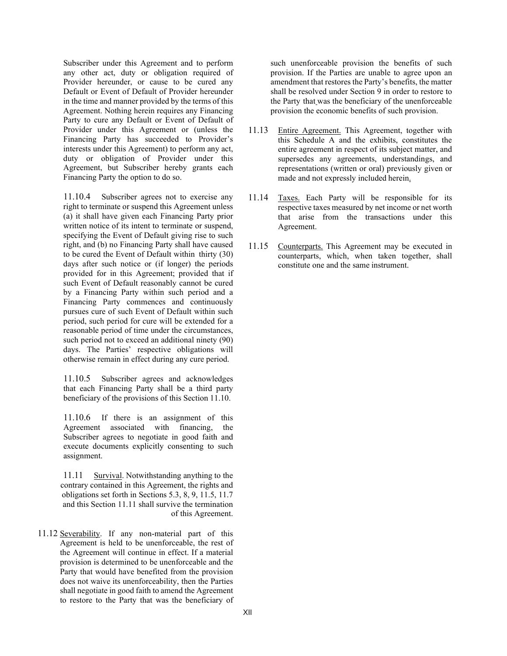Subscriber under this Agreement and to perform any other act, duty or obligation required of Provider hereunder, or cause to be cured any Default or Event of Default of Provider hereunder in the time and manner provided by the terms of this Agreement. Nothing herein requires any Financing Party to cure any Default or Event of Default of Provider under this Agreement or (unless the Financing Party has succeeded to Provider's interests under this Agreement) to perform any act, duty or obligation of Provider under this Agreement, but Subscriber hereby grants each Financing Party the option to do so.

11.10.4 Subscriber agrees not to exercise any right to terminate or suspend this Agreement unless (a) it shall have given each Financing Party prior written notice of its intent to terminate or suspend, specifying the Event of Default giving rise to such right, and (b) no Financing Party shall have caused to be cured the Event of Default within thirty (30) days after such notice or (if longer) the periods provided for in this Agreement; provided that if such Event of Default reasonably cannot be cured by a Financing Party within such period and a Financing Party commences and continuously pursues cure of such Event of Default within such period, such period for cure will be extended for a reasonable period of time under the circumstances, such period not to exceed an additional ninety (90) days. The Parties' respective obligations will otherwise remain in effect during any cure period.

11.10.5 Subscriber agrees and acknowledges that each Financing Party shall be a third party beneficiary of the provisions of this Section 11.10.

11.10.6 If there is an assignment of this Agreement associated with financing, the Subscriber agrees to negotiate in good faith and execute documents explicitly consenting to such assignment.

11.11 Survival. Notwithstanding anything to the contrary contained in this Agreement, the rights and obligations set forth in Sections 5.3, 8, 9, 11.5, 11.7 and this Section 11.11 shall survive the termination of this Agreement.

11.12 Severability. If any non-material part of this Agreement is held to be unenforceable, the rest of the Agreement will continue in effect. If a material provision is determined to be unenforceable and the Party that would have benefited from the provision does not waive its unenforceability, then the Parties shall negotiate in good faith to amend the Agreement to restore to the Party that was the beneficiary of

such unenforceable provision the benefits of such provision. If the Parties are unable to agree upon an amendment that restores the Party's benefits, the matter shall be resolved under Section 9 in order to restore to the Party that was the beneficiary of the unenforceable provision the economic benefits of such provision.

- 11.13 Entire Agreement. This Agreement, together with this Schedule A and the exhibits, constitutes the entire agreement in respect of its subject matter, and supersedes any agreements, understandings, and representations (written or oral) previously given or made and not expressly included herein.
- 11.14 Taxes. Each Party will be responsible for its respective taxes measured by net income or net worth that arise from the transactions under this Agreement.
- 11.15 Counterparts. This Agreement may be executed in counterparts, which, when taken together, shall constitute one and the same instrument.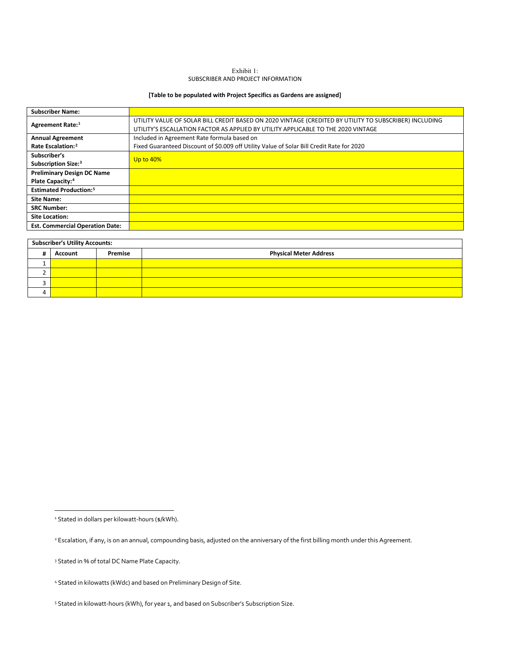#### Exhibit 1: SUBSCRIBER AND PROJECT INFORMATION

## **[Table to be populated with Project Specifics as Gardens are assigned]**

| <b>Subscriber Name:</b>                   |                                                                                                                                                                                             |
|-------------------------------------------|---------------------------------------------------------------------------------------------------------------------------------------------------------------------------------------------|
| Agreement Rate: <sup>1</sup>              | UTILITY VALUE OF SOLAR BILL CREDIT BASED ON 2020 VINTAGE (CREDITED BY UTILITY TO SUBSCRIBER) INCLUDING<br>UTILITY'S ESCALLATION FACTOR AS APPLIED BY UTILITY APPLICABLE TO THE 2020 VINTAGE |
|                                           |                                                                                                                                                                                             |
| <b>Annual Agreement</b>                   | Included in Agreement Rate formula based on                                                                                                                                                 |
| Rate Escalation: <sup>2</sup>             | Fixed Guaranteed Discount of \$0.009 off Utility Value of Solar Bill Credit Rate for 2020                                                                                                   |
| Subscriber's                              | <b>Up to 40%</b>                                                                                                                                                                            |
| Subscription Size: <sup>3</sup>           |                                                                                                                                                                                             |
| <b>Preliminary Design DC Name</b>         |                                                                                                                                                                                             |
| Plate Capacity: <sup>4</sup>              |                                                                                                                                                                                             |
| <b>Estimated Production:</b> <sup>5</sup> |                                                                                                                                                                                             |
| <b>Site Name:</b>                         |                                                                                                                                                                                             |
| <b>SRC Number:</b>                        |                                                                                                                                                                                             |
| <b>Site Location:</b>                     |                                                                                                                                                                                             |
| <b>Est. Commercial Operation Date:</b>    |                                                                                                                                                                                             |

| <b>Subscriber's Utility Accounts:</b> |         |         |                               |  |
|---------------------------------------|---------|---------|-------------------------------|--|
|                                       | Account | Premise | <b>Physical Meter Address</b> |  |
|                                       |         |         |                               |  |
|                                       |         |         |                               |  |
|                                       |         |         |                               |  |
|                                       |         |         |                               |  |

<span id="page-13-0"></span><sup>&</sup>lt;sup>1</sup> Stated in dollars per kilowatt-hours (\$/kWh).

<span id="page-13-1"></span><sup>&</sup>lt;sup>2</sup> Escalation, if any, is on an annual, compounding basis, adjusted on the anniversary of the first billing month under this Agreement.

<span id="page-13-2"></span><sup>3</sup> Stated in % of total DC Name Plate Capacity.

<span id="page-13-3"></span><sup>4</sup> Stated in kilowatts (kWdc) and based on Preliminary Design of Site.

<span id="page-13-4"></span><sup>&</sup>lt;sup>5</sup> Stated in kilowatt-hours (kWh), for year 1, and based on Subscriber's Subscription Size.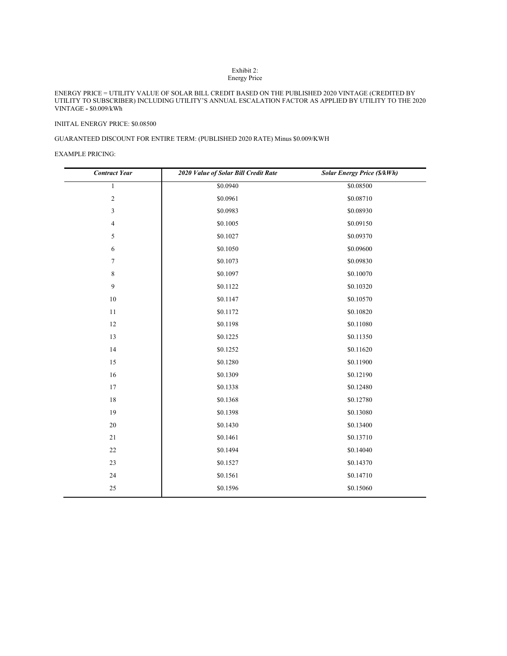#### Exhibit 2: Energy Price

#### ENERGY PRICE = UTILITY VALUE OF SOLAR BILL CREDIT BASED ON THE PUBLISHED 2020 VINTAGE (CREDITED BY UTILITY TO SUBSCRIBER) INCLUDING UTILITY'S ANNUAL ESCALATION FACTOR AS APPLIED BY UTILITY TO THE 2020 VINTAGE **-** \$0.009/kWh

#### INIITAL ENERGY PRICE: \$0.08500

## GUARANTEED DISCOUNT FOR ENTIRE TERM: (PUBLISHED 2020 RATE) Minus \$0.009/KWH

#### EXAMPLE PRICING:

| <b>Contract Year</b> | 2020 Value of Solar Bill Credit Rate | Solar Energy Price (\$/kWh) |
|----------------------|--------------------------------------|-----------------------------|
| $\mathbf{1}$         | \$0.0940                             | \$0.08500                   |
| $\sqrt{2}$           | \$0.0961                             | \$0.08710                   |
| 3                    | \$0.0983                             | \$0.08930                   |
| $\overline{4}$       | \$0.1005                             | \$0.09150                   |
| 5                    | \$0.1027                             | \$0.09370                   |
| 6                    | \$0.1050                             | \$0.09600                   |
| 7                    | \$0.1073                             | \$0.09830                   |
| $8\phantom{.0}$      | \$0.1097                             | \$0.10070                   |
| 9                    | \$0.1122                             | \$0.10320                   |
| 10                   | \$0.1147                             | \$0.10570                   |
| 11                   | \$0.1172                             | \$0.10820                   |
| $12\,$               | \$0.1198                             | \$0.11080                   |
| 13                   | \$0.1225                             | \$0.11350                   |
| 14                   | \$0.1252                             | \$0.11620                   |
| 15                   | \$0.1280                             | \$0.11900                   |
| 16                   | \$0.1309                             | \$0.12190                   |
| 17                   | \$0.1338                             | \$0.12480                   |
| 18                   | \$0.1368                             | \$0.12780                   |
| 19                   | \$0.1398                             | \$0.13080                   |
| 20                   | \$0.1430                             | \$0.13400                   |
| 21                   | \$0.1461                             | \$0.13710                   |
| 22                   | \$0.1494                             | \$0.14040                   |
| 23                   | \$0.1527                             | \$0.14370                   |
| 24                   | \$0.1561                             | \$0.14710                   |
| 25                   | \$0.1596                             | \$0.15060                   |
|                      |                                      |                             |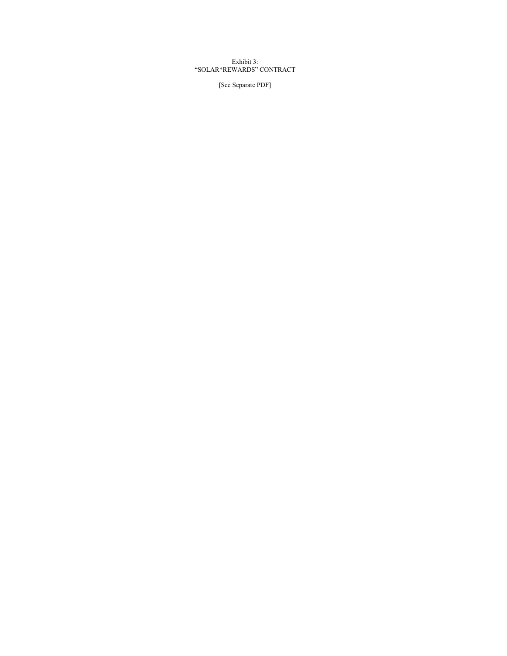Exhibit 3: "SOLAR\*REWARDS" CONTRACT

[See Separate PDF]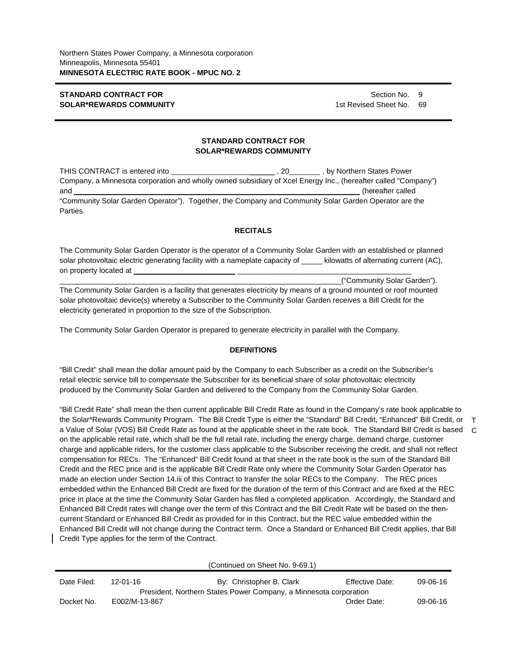# **STANDARD CONTRACT FOR SOLAR\*REWARDS COMMUNITY**

Section No. 9 1st Revised Sheet No. 69

## **STANDARD CONTRACT FOR SOLAR\*REWARDS COMMUNITY**

THIS CONTRACT is entered into \_\_\_\_\_\_ , 20 , by Northern States Power Company, a Minnesota corporation and wholly owned subsidiary of Xcel Energy Inc., (hereafter called "Company") and **and and and and** *\_\_\_\_\_\_\_\_\_\_\_\_\_\_\_\_\_\_\_\_\_\_\_\_\_\_\_\_\_\_\_\_* **(hereafter called** "Community Solar Garden Operator"). Together, the Company and Community Solar Garden Operator are the Parties.

## **RECITALS**

The Community Solar Garden Operator is the operator of a Community Solar Garden with an established or planned solar photovoltaic electric generating facility with a nameplate capacity of \_\_\_\_\_ kilowatts of alternating current (AC), on property located at

\_\_\_\_\_\_\_\_\_\_\_\_\_\_\_\_\_\_\_\_\_\_\_\_\_\_\_\_\_\_\_\_\_\_\_\_\_\_\_\_\_\_\_\_\_\_\_\_\_\_\_\_\_\_\_\_\_\_\_\_\_\_\_\_\_\_\_\_("Community Solar Garden"). The Community Solar Garden is a facility that generates electricity by means of a ground mounted or roof mounted solar photovoltaic device(s) whereby a Subscriber to the Community Solar Garden receives a Bill Credit for the electricity generated in proportion to the size of the Subscription.

The Community Solar Garden Operator is prepared to generate electricity in parallel with the Company.

## **DEFINITIONS**

"Bill Credit" shall mean the dollar amount paid by the Company to each Subscriber as a credit on the Subscriber's retail electric service bill to compensate the Subscriber for its beneficial share of solar photovoltaic electricity produced by the Community Solar Garden and delivered to the Company from the Community Solar Garden.

"Bill Credit Rate" shall mean the then current applicable Bill Credit Rate as found in the Company's rate book applicable to the Solar\*Rewards Community Program. The Bill Credit Type is either the "Standard" Bill Credit, "Enhanced" Bill Credit, or T a Value of Solar (VOS) Bill Credit Rate as found at the applicable sheet in the rate book. The Standard Bill Credit is based C on the applicable retail rate, which shall be the full retail rate, including the energy charge, demand charge, customer charge and applicable riders, for the customer class applicable to the Subscriber receiving the credit, and shall not reflect compensation for RECs. The "Enhanced" Bill Credit found at that sheet in the rate book is the sum of the Standard Bill Credit and the REC price and is the applicable Bill Credit Rate only where the Community Solar Garden Operator has made an election under Section 14.iii of this Contract to transfer the solar RECs to the Company. The REC prices embedded within the Enhanced Bill Credit are fixed for the duration of the term of this Contract and are fixed at the REC price in place at the time the Community Solar Garden has filed a completed application. Accordingly, the Standard and Enhanced Bill Credit rates will change over the term of this Contract and the Bill Credit Rate will be based on the thencurrent Standard or Enhanced Bill Credit as provided for in this Contract, but the REC value embedded within the Enhanced Bill Credit will not change during the Contract term. Once a Standard or Enhanced Bill Credit applies, that Bill Credit Type applies for the term of the Contract.

|                                                                   |                | (Continued on Sheet No. 9-69.1) |                        |                |
|-------------------------------------------------------------------|----------------|---------------------------------|------------------------|----------------|
| Date Filed:                                                       | $12 - 01 - 16$ | By: Christopher B. Clark        | <b>Effective Date:</b> | $09 - 06 - 16$ |
| President, Northern States Power Company, a Minnesota corporation |                |                                 |                        |                |
| Docket No.                                                        | E002/M-13-867  |                                 | Order Date:            | 09-06-16       |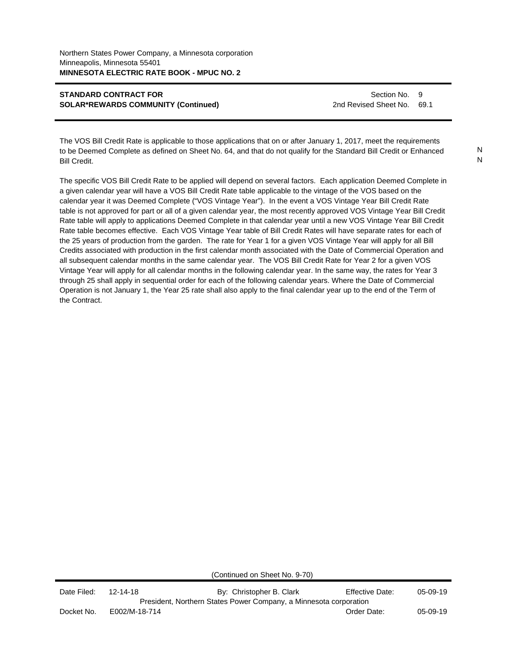Section No. 9 2nd Revised Sheet No. 69.1

The VOS Bill Credit Rate is applicable to those applications that on or after January 1, 2017, meet the requirements to be Deemed Complete as defined on Sheet No. 64, and that do not qualify for the Standard Bill Credit or Enhanced Bill Credit.

The specific VOS Bill Credit Rate to be applied will depend on several factors. Each application Deemed Complete in a given calendar year will have a VOS Bill Credit Rate table applicable to the vintage of the VOS based on the calendar year it was Deemed Complete ("VOS Vintage Year"). In the event a VOS Vintage Year Bill Credit Rate table is not approved for part or all of a given calendar year, the most recently approved VOS Vintage Year Bill Credit Rate table will apply to applications Deemed Complete in that calendar year until a new VOS Vintage Year Bill Credit Rate table becomes effective. Each VOS Vintage Year table of Bill Credit Rates will have separate rates for each of the 25 years of production from the garden. The rate for Year 1 for a given VOS Vintage Year will apply for all Bill Credits associated with production in the first calendar month associated with the Date of Commercial Operation and all subsequent calendar months in the same calendar year. The VOS Bill Credit Rate for Year 2 for a given VOS Vintage Year will apply for all calendar months in the following calendar year. In the same way, the rates for Year 3 through 25 shall apply in sequential order for each of the following calendar years. Where the Date of Commercial Operation is not January 1, the Year 25 rate shall also apply to the final calendar year up to the end of the Term of the Contract.

(Continued on Sheet No. 9-70)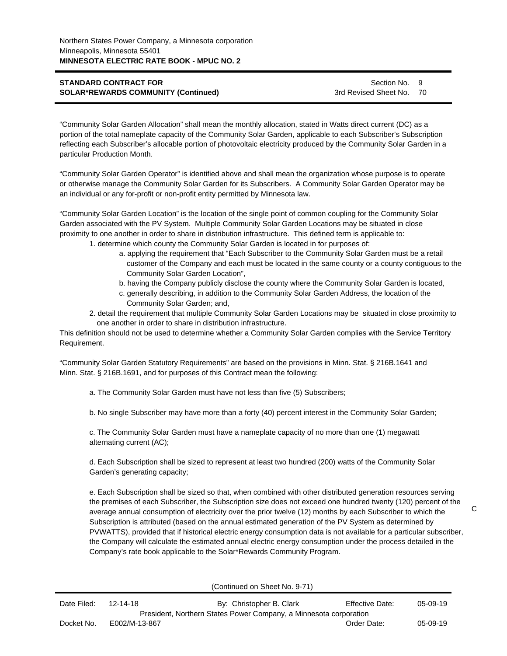Section No. 9 3rd Revised Sheet No. 70

"Community Solar Garden Allocation" shall mean the monthly allocation, stated in Watts direct current (DC) as a portion of the total nameplate capacity of the Community Solar Garden, applicable to each Subscriber's Subscription reflecting each Subscriber's allocable portion of photovoltaic electricity produced by the Community Solar Garden in a particular Production Month.

"Community Solar Garden Operator" is identified above and shall mean the organization whose purpose is to operate or otherwise manage the Community Solar Garden for its Subscribers. A Community Solar Garden Operator may be an individual or any for-profit or non-profit entity permitted by Minnesota law.

"Community Solar Garden Location" is the location of the single point of common coupling for the Community Solar Garden associated with the PV System. Multiple Community Solar Garden Locations may be situated in close proximity to one another in order to share in distribution infrastructure. This defined term is applicable to:

- 1. determine which county the Community Solar Garden is located in for purposes of:
	- a. applying the requirement that "Each Subscriber to the Community Solar Garden must be a retail customer of the Company and each must be located in the same county or a county contiguous to the Community Solar Garden Location",
	- b. having the Company publicly disclose the county where the Community Solar Garden is located,
	- c. generally describing, in addition to the Community Solar Garden Address, the location of the Community Solar Garden; and,
- 2. detail the requirement that multiple Community Solar Garden Locations may be situated in close proximity to one another in order to share in distribution infrastructure.

This definition should not be used to determine whether a Community Solar Garden complies with the Service Territory Requirement.

"Community Solar Garden Statutory Requirements" are based on the provisions in Minn. Stat. § 216B.1641 and Minn. Stat. § 216B.1691, and for purposes of this Contract mean the following:

a. The Community Solar Garden must have not less than five (5) Subscribers;

b. No single Subscriber may have more than a forty (40) percent interest in the Community Solar Garden;

c. The Community Solar Garden must have a nameplate capacity of no more than one (1) megawatt alternating current (AC);

d. Each Subscription shall be sized to represent at least two hundred (200) watts of the Community Solar Garden's generating capacity;

e. Each Subscription shall be sized so that, when combined with other distributed generation resources serving the premises of each Subscriber, the Subscription size does not exceed one hundred twenty (120) percent of the average annual consumption of electricity over the prior twelve (12) months by each Subscriber to which the Subscription is attributed (based on the annual estimated generation of the PV System as determined by PVWATTS), provided that if historical electric energy consumption data is not available for a particular subscriber, the Company will calculate the estimated annual electric energy consumption under the process detailed in the Company's rate book applicable to the Solar\*Rewards Community Program.

(Continued on Sheet No. 9-71)

| Date Filed: | $12 - 14 - 18$ | By: Christopher B. Clark                                          | Effective Date: | 05-09-19 |
|-------------|----------------|-------------------------------------------------------------------|-----------------|----------|
|             |                | President, Northern States Power Company, a Minnesota corporation |                 |          |
| Docket No.  | E002/M-13-867  |                                                                   | Order Date:     | 05-09-19 |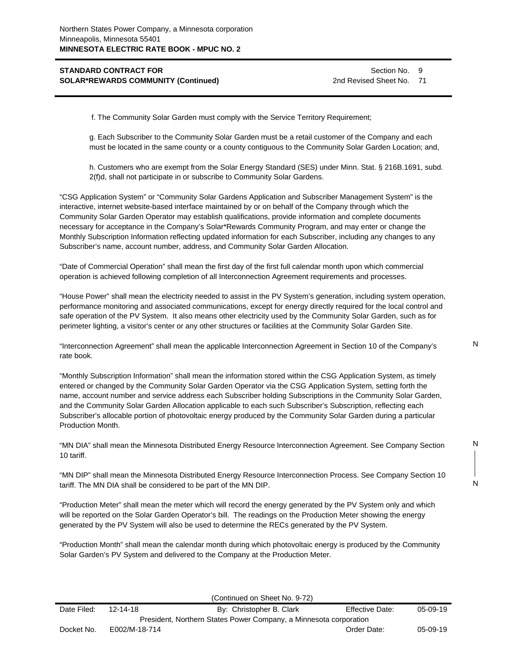Section No. 9 2nd Revised Sheet No. 71

f. The Community Solar Garden must comply with the Service Territory Requirement;

g. Each Subscriber to the Community Solar Garden must be a retail customer of the Company and each must be located in the same county or a county contiguous to the Community Solar Garden Location; and,

h. Customers who are exempt from the Solar Energy Standard (SES) under Minn. Stat. § 216B.1691, subd. 2(f)d, shall not participate in or subscribe to Community Solar Gardens.

"CSG Application System" or "Community Solar Gardens Application and Subscriber Management System" is the interactive, internet website-based interface maintained by or on behalf of the Company through which the Community Solar Garden Operator may establish qualifications, provide information and complete documents necessary for acceptance in the Company's Solar\*Rewards Community Program, and may enter or change the Monthly Subscription Information reflecting updated information for each Subscriber, including any changes to any Subscriber's name, account number, address, and Community Solar Garden Allocation.

"Date of Commercial Operation" shall mean the first day of the first full calendar month upon which commercial operation is achieved following completion of all Interconnection Agreement requirements and processes.

"House Power" shall mean the electricity needed to assist in the PV System's generation, including system operation, performance monitoring and associated communications, except for energy directly required for the local control and safe operation of the PV System. It also means other electricity used by the Community Solar Garden, such as for perimeter lighting, a visitor's center or any other structures or facilities at the Community Solar Garden Site.

"Interconnection Agreement" shall mean the applicable Interconnection Agreement in Section 10 of the Company's rate book.

"Monthly Subscription Information" shall mean the information stored within the CSG Application System, as timely entered or changed by the Community Solar Garden Operator via the CSG Application System, setting forth the name, account number and service address each Subscriber holding Subscriptions in the Community Solar Garden, and the Community Solar Garden Allocation applicable to each such Subscriber's Subscription, reflecting each Subscriber's allocable portion of photovoltaic energy produced by the Community Solar Garden during a particular Production Month.

"MN DIA" shall mean the Minnesota Distributed Energy Resource Interconnection Agreement. See Company Section 10 tariff.

"MN DIP" shall mean the Minnesota Distributed Energy Resource Interconnection Process. See Company Section 10 tariff. The MN DIA shall be considered to be part of the MN DIP.

"Production Meter" shall mean the meter which will record the energy generated by the PV System only and which will be reported on the Solar Garden Operator's bill. The readings on the Production Meter showing the energy generated by the PV System will also be used to determine the RECs generated by the PV System.

"Production Month" shall mean the calendar month during which photovoltaic energy is produced by the Community Solar Garden's PV System and delivered to the Company at the Production Meter.

|             |                                                                   | (Continued on Sheet No. 9-72) |                 |          |  |
|-------------|-------------------------------------------------------------------|-------------------------------|-----------------|----------|--|
| Date Filed: | 12-14-18                                                          | By: Christopher B. Clark      | Effective Date: | 05-09-19 |  |
|             | President, Northern States Power Company, a Minnesota corporation |                               |                 |          |  |
| Docket No.  | E002/M-18-714                                                     |                               | Order Date:     | 05-09-19 |  |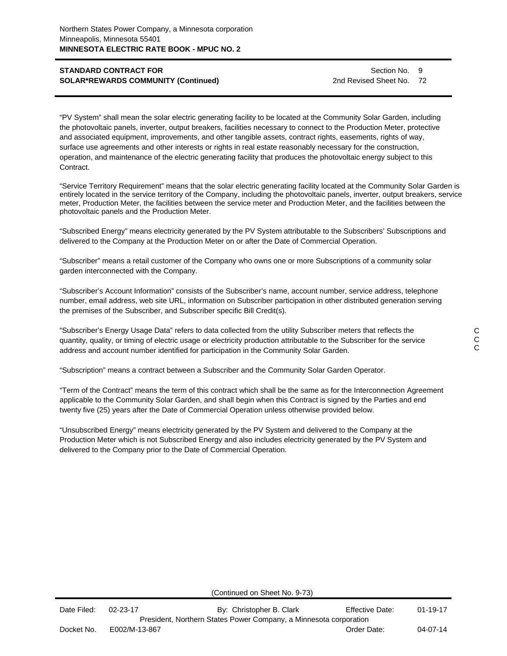Section No. 9 2nd Revised Sheet No. 72

"PV System" shall mean the solar electric generating facility to be located at the Community Solar Garden, including the photovoltaic panels, inverter, output breakers, facilities necessary to connect to the Production Meter, protective and associated equipment, improvements, and other tangible assets, contract rights, easements, rights of way, surface use agreements and other interests or rights in real estate reasonably necessary for the construction, operation, and maintenance of the electric generating facility that produces the photovoltaic energy subject to this Contract.

"Service Territory Requirement" means that the solar electric generating facility located at the Community Solar Garden is entirely located in the service territory of the Company, including the photovoltaic panels, inverter, output breakers, service meter, Production Meter, the facilities between the service meter and Production Meter, and the facilities between the photovoltaic panels and the Production Meter.

"Subscribed Energy" means electricity generated by the PV System attributable to the Subscribers' Subscriptions and delivered to the Company at the Production Meter on or after the Date of Commercial Operation.

"Subscriber" means a retail customer of the Company who owns one or more Subscriptions of a community solar garden interconnected with the Company.

"Subscriber's Account Information" consists of the Subscriber's name, account number, service address, telephone number, email address, web site URL, information on Subscriber participation in other distributed generation serving the premises of the Subscriber, and Subscriber specific Bill Credit(s).

"Subscriber's Energy Usage Data" refers to data collected from the utility Subscriber meters that reflects the quantity, quality, or timing of electric usage or electricity production attributable to the Subscriber for the service address and account number identified for participation in the Community Solar Garden.

"Subscription" means a contract between a Subscriber and the Community Solar Garden Operator.

"Term of the Contract" means the term of this contract which shall be the same as for the Interconnection Agreement applicable to the Community Solar Garden, and shall begin when this Contract is signed by the Parties and end twenty five (25) years after the Date of Commercial Operation unless otherwise provided below.

"Unsubscribed Energy" means electricity generated by the PV System and delivered to the Company at the Production Meter which is not Subscribed Energy and also includes electricity generated by the PV System and delivered to the Company prior to the Date of Commercial Operation.

(Continued on Sheet No. 9-73)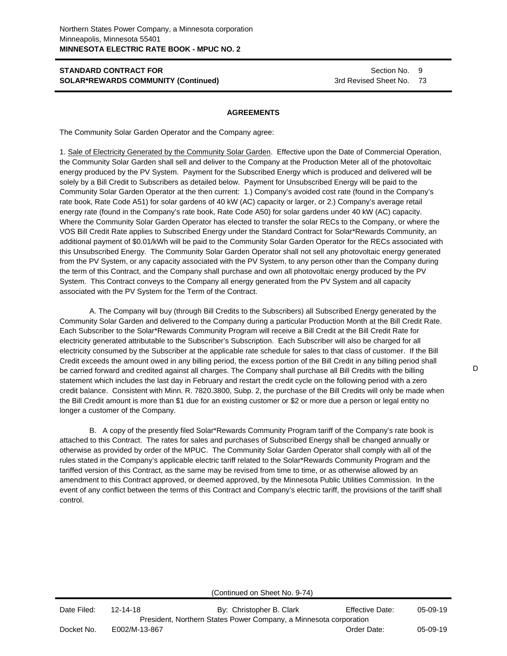#### **AGREEMENTS**

The Community Solar Garden Operator and the Company agree:

1. Sale of Electricity Generated by the Community Solar Garden. Effective upon the Date of Commercial Operation, the Community Solar Garden shall sell and deliver to the Company at the Production Meter all of the photovoltaic energy produced by the PV System. Payment for the Subscribed Energy which is produced and delivered will be solely by a Bill Credit to Subscribers as detailed below. Payment for Unsubscribed Energy will be paid to the Community Solar Garden Operator at the then current: 1.) Company's avoided cost rate (found in the Company's rate book, Rate Code A51) for solar gardens of 40 kW (AC) capacity or larger, or 2.) Company's average retail energy rate (found in the Company's rate book, Rate Code A50) for solar gardens under 40 kW (AC) capacity. Where the Community Solar Garden Operator has elected to transfer the solar RECs to the Company, or where the VOS Bill Credit Rate applies to Subscribed Energy under the Standard Contract for Solar\*Rewards Community, an additional payment of \$0.01/kWh will be paid to the Community Solar Garden Operator for the RECs associated with this Unsubscribed Energy. The Community Solar Garden Operator shall not sell any photovoltaic energy generated from the PV System, or any capacity associated with the PV System, to any person other than the Company during the term of this Contract, and the Company shall purchase and own all photovoltaic energy produced by the PV System. This Contract conveys to the Company all energy generated from the PV System and all capacity associated with the PV System for the Term of the Contract.

A. The Company will buy (through Bill Credits to the Subscribers) all Subscribed Energy generated by the Community Solar Garden and delivered to the Company during a particular Production Month at the Bill Credit Rate. Each Subscriber to the Solar\*Rewards Community Program will receive a Bill Credit at the Bill Credit Rate for electricity generated attributable to the Subscriber's Subscription. Each Subscriber will also be charged for all electricity consumed by the Subscriber at the applicable rate schedule for sales to that class of customer. If the Bill Credit exceeds the amount owed in any billing period, the excess portion of the Bill Credit in any billing period shall be carried forward and credited against all charges. The Company shall purchase all Bill Credits with the billing statement which includes the last day in February and restart the credit cycle on the following period with a zero credit balance. Consistent with Minn. R. 7820.3800, Subp. 2, the purchase of the Bill Credits will only be made when the Bill Credit amount is more than \$1 due for an existing customer or \$2 or more due a person or legal entity no longer a customer of the Company.

B. A copy of the presently filed Solar\*Rewards Community Program tariff of the Company's rate book is attached to this Contract. The rates for sales and purchases of Subscribed Energy shall be changed annually or otherwise as provided by order of the MPUC. The Community Solar Garden Operator shall comply with all of the rules stated in the Company's applicable electric tariff related to the Solar\*Rewards Community Program and the tariffed version of this Contract, as the same may be revised from time to time, or as otherwise allowed by an amendment to this Contract approved, or deemed approved, by the Minnesota Public Utilities Commission. In the event of any conflict between the terms of this Contract and Company's electric tariff, the provisions of the tariff shall control.

(Continued on Sheet No. 9-74)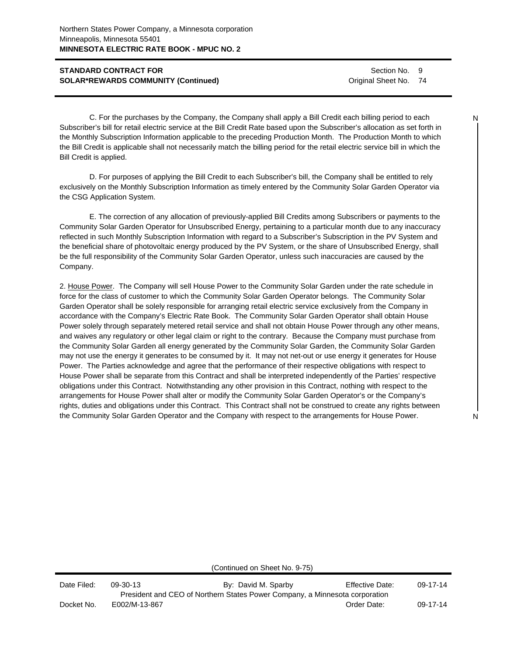Section No. 9 Original Sheet No. 74

C. For the purchases by the Company, the Company shall apply a Bill Credit each billing period to each Subscriber's bill for retail electric service at the Bill Credit Rate based upon the Subscriber's allocation as set forth in the Monthly Subscription Information applicable to the preceding Production Month. The Production Month to which the Bill Credit is applicable shall not necessarily match the billing period for the retail electric service bill in which the Bill Credit is applied.

D. For purposes of applying the Bill Credit to each Subscriber's bill, the Company shall be entitled to rely exclusively on the Monthly Subscription Information as timely entered by the Community Solar Garden Operator via the CSG Application System.

E. The correction of any allocation of previously-applied Bill Credits among Subscribers or payments to the Community Solar Garden Operator for Unsubscribed Energy, pertaining to a particular month due to any inaccuracy reflected in such Monthly Subscription Information with regard to a Subscriber's Subscription in the PV System and the beneficial share of photovoltaic energy produced by the PV System, or the share of Unsubscribed Energy, shall be the full responsibility of the Community Solar Garden Operator, unless such inaccuracies are caused by the Company.

2. House Power. The Company will sell House Power to the Community Solar Garden under the rate schedule in force for the class of customer to which the Community Solar Garden Operator belongs. The Community Solar Garden Operator shall be solely responsible for arranging retail electric service exclusively from the Company in accordance with the Company's Electric Rate Book. The Community Solar Garden Operator shall obtain House Power solely through separately metered retail service and shall not obtain House Power through any other means, and waives any regulatory or other legal claim or right to the contrary. Because the Company must purchase from the Community Solar Garden all energy generated by the Community Solar Garden, the Community Solar Garden may not use the energy it generates to be consumed by it. It may not net-out or use energy it generates for House Power. The Parties acknowledge and agree that the performance of their respective obligations with respect to House Power shall be separate from this Contract and shall be interpreted independently of the Parties' respective obligations under this Contract. Notwithstanding any other provision in this Contract, nothing with respect to the arrangements for House Power shall alter or modify the Community Solar Garden Operator's or the Company's rights, duties and obligations under this Contract. This Contract shall not be construed to create any rights between the Community Solar Garden Operator and the Company with respect to the arrangements for House Power.

(Continued on Sheet No. 9-75)

| Date Filed: | 09-30-13      | By: David M. Sparby                                                         | <b>Effective Date:</b> | $09-17-14$ |
|-------------|---------------|-----------------------------------------------------------------------------|------------------------|------------|
|             |               | President and CEO of Northern States Power Company, a Minnesota corporation |                        |            |
| Docket No.  | E002/M-13-867 |                                                                             | Order Date:            | 09-17-14   |

N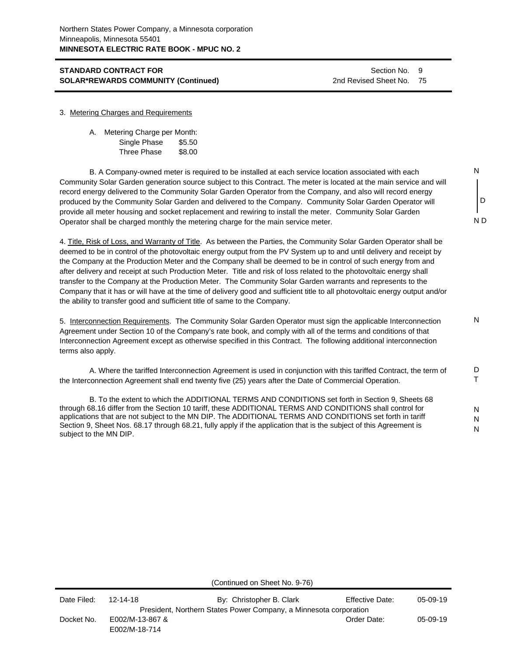Section No. 9 2nd Revised Sheet No. 75

N

D

N D

N

D T

N N N

#### 3. Metering Charges and Requirements

| А. | Metering Charge per Month: |        |
|----|----------------------------|--------|
|    | Single Phase               | \$5.50 |
|    | Three Phase                | \$8.00 |

B. A Company-owned meter is required to be installed at each service location associated with each Community Solar Garden generation source subject to this Contract. The meter is located at the main service and will record energy delivered to the Community Solar Garden Operator from the Company, and also will record energy produced by the Community Solar Garden and delivered to the Company. Community Solar Garden Operator will provide all meter housing and socket replacement and rewiring to install the meter. Community Solar Garden Operator shall be charged monthly the metering charge for the main service meter.

4. Title, Risk of Loss, and Warranty of Title. As between the Parties, the Community Solar Garden Operator shall be deemed to be in control of the photovoltaic energy output from the PV System up to and until delivery and receipt by the Company at the Production Meter and the Company shall be deemed to be in control of such energy from and after delivery and receipt at such Production Meter. Title and risk of loss related to the photovoltaic energy shall transfer to the Company at the Production Meter. The Community Solar Garden warrants and represents to the Company that it has or will have at the time of delivery good and sufficient title to all photovoltaic energy output and/or the ability to transfer good and sufficient title of same to the Company.

5. Interconnection Requirements. The Community Solar Garden Operator must sign the applicable Interconnection Agreement under Section 10 of the Company's rate book, and comply with all of the terms and conditions of that Interconnection Agreement except as otherwise specified in this Contract. The following additional interconnection terms also apply.

A. Where the tariffed Interconnection Agreement is used in conjunction with this tariffed Contract, the term of the Interconnection Agreement shall end twenty five (25) years after the Date of Commercial Operation.

B. To the extent to which the ADDITIONAL TERMS AND CONDITIONS set forth in Section 9, Sheets 68 through 68.16 differ from the Section 10 tariff, these ADDITIONAL TERMS AND CONDITIONS shall control for applications that are not subject to the MN DIP. The ADDITIONAL TERMS AND CONDITIONS set forth in tariff Section 9, Sheet Nos. 68.17 through 68.21, fully apply if the application that is the subject of this Agreement is subject to the MN DIP.

(Continued on Sheet No. 9-76)

| Date Filed: | 12-14-18                         | By: Christopher B. Clark                                          | <b>Effective Date:</b> | 05-09-19 |
|-------------|----------------------------------|-------------------------------------------------------------------|------------------------|----------|
|             |                                  | President, Northern States Power Company, a Minnesota corporation |                        |          |
| Docket No.  | E002/M-13-867 &<br>E002/M-18-714 |                                                                   | Order Date:            | 05-09-19 |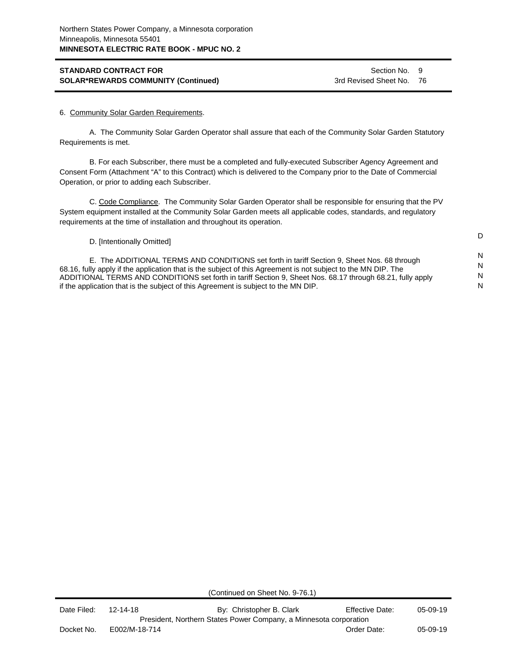Section No. 9 3rd Revised Sheet No. 76

D

N N N N

#### 6. Community Solar Garden Requirements.

A. The Community Solar Garden Operator shall assure that each of the Community Solar Garden Statutory Requirements is met.

B. For each Subscriber, there must be a completed and fully-executed Subscriber Agency Agreement and Consent Form (Attachment "A" to this Contract) which is delivered to the Company prior to the Date of Commercial Operation, or prior to adding each Subscriber.

C. Code Compliance. The Community Solar Garden Operator shall be responsible for ensuring that the PV System equipment installed at the Community Solar Garden meets all applicable codes, standards, and regulatory requirements at the time of installation and throughout its operation.

D. [Intentionally Omitted]

E. The ADDITIONAL TERMS AND CONDITIONS set forth in tariff Section 9, Sheet Nos. 68 through 68.16, fully apply if the application that is the subject of this Agreement is not subject to the MN DIP. The ADDITIONAL TERMS AND CONDITIONS set forth in tariff Section 9, Sheet Nos. 68.17 through 68.21, fully apply if the application that is the subject of this Agreement is subject to the MN DIP.

(Continued on Sheet No. 9-76.1)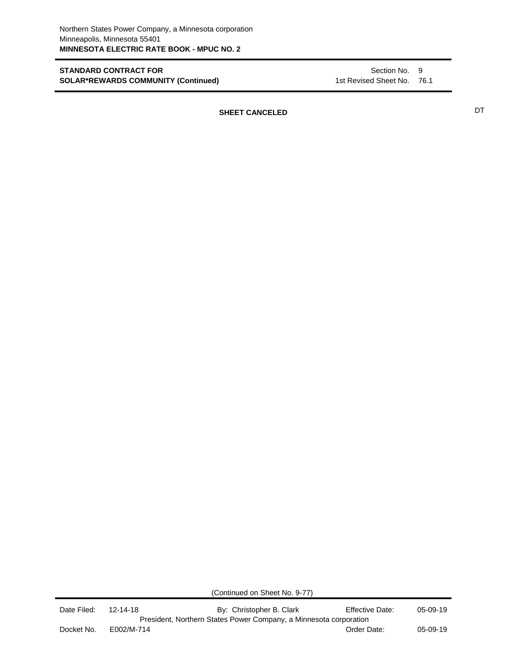Section No. 9 1st Revised Sheet No. 76.1

**SHEET CANCELED** DT

(Continued on Sheet No. 9-77)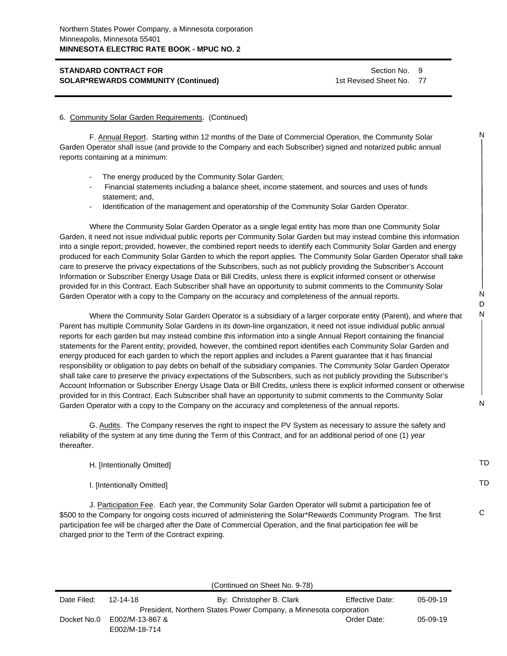Section No. 9 1st Revised Sheet No. 77

N

N D N

N

#### 6. Community Solar Garden Requirements. (Continued)

F. Annual Report. Starting within 12 months of the Date of Commercial Operation, the Community Solar Garden Operator shall issue (and provide to the Company and each Subscriber) signed and notarized public annual reports containing at a minimum:

- The energy produced by the Community Solar Garden;
- Financial statements including a balance sheet, income statement, and sources and uses of funds statement; and,
- Identification of the management and operatorship of the Community Solar Garden Operator.

Where the Community Solar Garden Operator as a single legal entity has more than one Community Solar Garden, it need not issue individual public reports per Community Solar Garden but may instead combine this information into a single report; provided, however, the combined report needs to identify each Community Solar Garden and energy produced for each Community Solar Garden to which the report applies. The Community Solar Garden Operator shall take care to preserve the privacy expectations of the Subscribers, such as not publicly providing the Subscriber's Account Information or Subscriber Energy Usage Data or Bill Credits, unless there is explicit informed consent or otherwise provided for in this Contract. Each Subscriber shall have an opportunity to submit comments to the Community Solar Garden Operator with a copy to the Company on the accuracy and completeness of the annual reports.

Where the Community Solar Garden Operator is a subsidiary of a larger corporate entity (Parent), and where that Parent has multiple Community Solar Gardens in its down-line organization, it need not issue individual public annual reports for each garden but may instead combine this information into a single Annual Report containing the financial statements for the Parent entity; provided, however, the combined report identifies each Community Solar Garden and energy produced for each garden to which the report applies and includes a Parent guarantee that it has financial responsibility or obligation to pay debts on behalf of the subsidiary companies. The Community Solar Garden Operator shall take care to preserve the privacy expectations of the Subscribers, such as not publicly providing the Subscriber's Account Information or Subscriber Energy Usage Data or Bill Credits, unless there is explicit informed consent or otherwise provided for in this Contract. Each Subscriber shall have an opportunity to submit comments to the Community Solar Garden Operator with a copy to the Company on the accuracy and completeness of the annual reports.

G. Audits. The Company reserves the right to inspect the PV System as necessary to assure the safety and reliability of the system at any time during the Term of this Contract, and for an additional period of one (1) year thereafter.

| H. [Intentionally Omitted]                                                                                                                                                                                                                                                                                                                                                                             | TD. |
|--------------------------------------------------------------------------------------------------------------------------------------------------------------------------------------------------------------------------------------------------------------------------------------------------------------------------------------------------------------------------------------------------------|-----|
| I. [Intentionally Omitted]                                                                                                                                                                                                                                                                                                                                                                             | TD  |
| J. Participation Fee. Each year, the Community Solar Garden Operator will submit a participation fee of<br>\$500 to the Company for ongoing costs incurred of administering the Solar*Rewards Community Program. The first<br>participation fee will be charged after the Date of Commercial Operation, and the final participation fee will be<br>charged prior to the Term of the Contract expiring. |     |

| Date Filed: | $12 - 14 - 18$                   | By: Christopher B. Clark                                          | <b>Effective Date:</b> | 05-09-19   |
|-------------|----------------------------------|-------------------------------------------------------------------|------------------------|------------|
|             |                                  | President, Northern States Power Company, a Minnesota corporation |                        |            |
| Docket No.0 | E002/M-13-867 &<br>E002/M-18-714 |                                                                   | Order Date:            | $05-09-19$ |

(Continued on Sheet No. 9-78)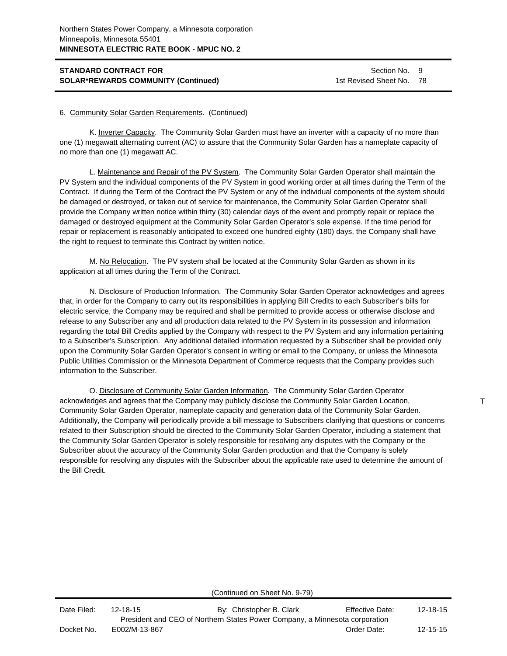Section No. 9 1st Revised Sheet No. 78

#### 6. Community Solar Garden Requirements. (Continued)

K. Inverter Capacity. The Community Solar Garden must have an inverter with a capacity of no more than one (1) megawatt alternating current (AC) to assure that the Community Solar Garden has a nameplate capacity of no more than one (1) megawatt AC.

L. Maintenance and Repair of the PV System. The Community Solar Garden Operator shall maintain the PV System and the individual components of the PV System in good working order at all times during the Term of the Contract. If during the Term of the Contract the PV System or any of the individual components of the system should be damaged or destroyed, or taken out of service for maintenance, the Community Solar Garden Operator shall provide the Company written notice within thirty (30) calendar days of the event and promptly repair or replace the damaged or destroyed equipment at the Community Solar Garden Operator's sole expense. If the time period for repair or replacement is reasonably anticipated to exceed one hundred eighty (180) days, the Company shall have the right to request to terminate this Contract by written notice.

M. No Relocation. The PV system shall be located at the Community Solar Garden as shown in its application at all times during the Term of the Contract.

N. Disclosure of Production Information. The Community Solar Garden Operator acknowledges and agrees that, in order for the Company to carry out its responsibilities in applying Bill Credits to each Subscriber's bills for electric service, the Company may be required and shall be permitted to provide access or otherwise disclose and release to any Subscriber any and all production data related to the PV System in its possession and information regarding the total Bill Credits applied by the Company with respect to the PV System and any information pertaining to a Subscriber's Subscription. Any additional detailed information requested by a Subscriber shall be provided only upon the Community Solar Garden Operator's consent in writing or email to the Company, or unless the Minnesota Public Utilities Commission or the Minnesota Department of Commerce requests that the Company provides such information to the Subscriber.

O. Disclosure of Community Solar Garden Information. The Community Solar Garden Operator acknowledges and agrees that the Company may publicly disclose the Community Solar Garden Location, Community Solar Garden Operator, nameplate capacity and generation data of the Community Solar Garden. Additionally, the Company will periodically provide a bill message to Subscribers clarifying that questions or concerns related to their Subscription should be directed to the Community Solar Garden Operator, including a statement that the Community Solar Garden Operator is solely responsible for resolving any disputes with the Company or the Subscriber about the accuracy of the Community Solar Garden production and that the Company is solely responsible for resolving any disputes with the Subscriber about the applicable rate used to determine the amount of the Bill Credit.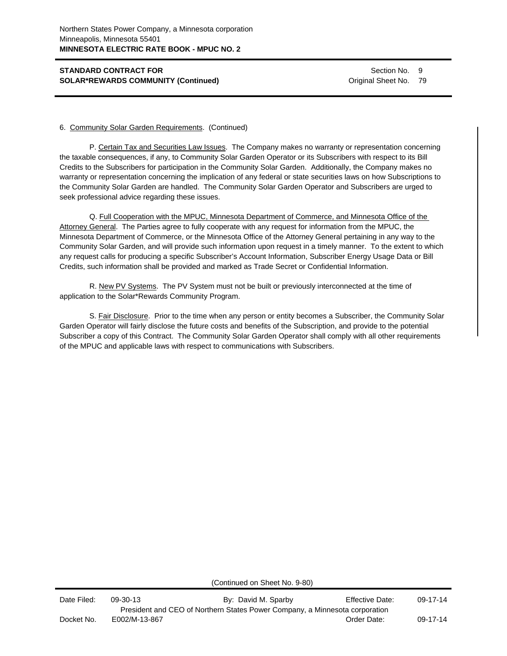Section No. 9 Original Sheet No. 79

#### 6. Community Solar Garden Requirements. (Continued)

P. Certain Tax and Securities Law Issues. The Company makes no warranty or representation concerning the taxable consequences, if any, to Community Solar Garden Operator or its Subscribers with respect to its Bill Credits to the Subscribers for participation in the Community Solar Garden. Additionally, the Company makes no warranty or representation concerning the implication of any federal or state securities laws on how Subscriptions to the Community Solar Garden are handled. The Community Solar Garden Operator and Subscribers are urged to seek professional advice regarding these issues.

Q. Full Cooperation with the MPUC, Minnesota Department of Commerce, and Minnesota Office of the Attorney General. The Parties agree to fully cooperate with any request for information from the MPUC, the Minnesota Department of Commerce, or the Minnesota Office of the Attorney General pertaining in any way to the Community Solar Garden, and will provide such information upon request in a timely manner. To the extent to which any request calls for producing a specific Subscriber's Account Information, Subscriber Energy Usage Data or Bill Credits, such information shall be provided and marked as Trade Secret or Confidential Information.

R. New PV Systems. The PV System must not be built or previously interconnected at the time of application to the Solar\*Rewards Community Program.

S. Fair Disclosure. Prior to the time when any person or entity becomes a Subscriber, the Community Solar Garden Operator will fairly disclose the future costs and benefits of the Subscription, and provide to the potential Subscriber a copy of this Contract. The Community Solar Garden Operator shall comply with all other requirements of the MPUC and applicable laws with respect to communications with Subscribers.

(Continued on Sheet No. 9-80)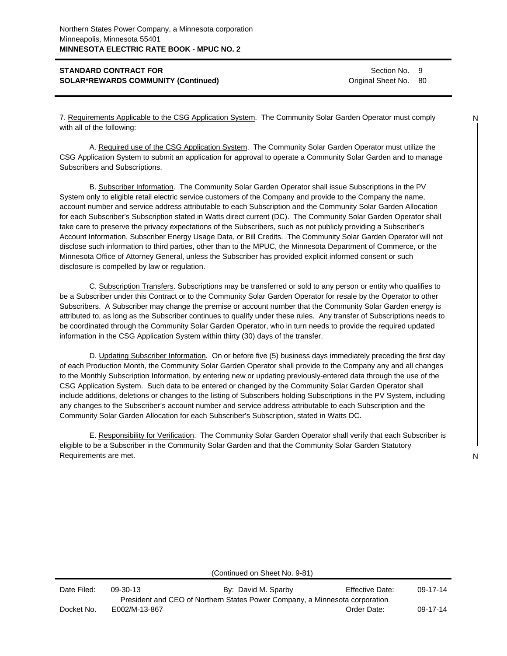Section No. 9 Original Sheet No. 80

7. Requirements Applicable to the CSG Application System. The Community Solar Garden Operator must comply with all of the following:

A. Required use of the CSG Application System. The Community Solar Garden Operator must utilize the CSG Application System to submit an application for approval to operate a Community Solar Garden and to manage Subscribers and Subscriptions.

B. Subscriber Information. The Community Solar Garden Operator shall issue Subscriptions in the PV System only to eligible retail electric service customers of the Company and provide to the Company the name, account number and service address attributable to each Subscription and the Community Solar Garden Allocation for each Subscriber's Subscription stated in Watts direct current (DC). The Community Solar Garden Operator shall take care to preserve the privacy expectations of the Subscribers, such as not publicly providing a Subscriber's Account Information, Subscriber Energy Usage Data, or Bill Credits. The Community Solar Garden Operator will not disclose such information to third parties, other than to the MPUC, the Minnesota Department of Commerce, or the Minnesota Office of Attorney General, unless the Subscriber has provided explicit informed consent or such disclosure is compelled by law or regulation.

C. Subscription Transfers. Subscriptions may be transferred or sold to any person or entity who qualifies to be a Subscriber under this Contract or to the Community Solar Garden Operator for resale by the Operator to other Subscribers. A Subscriber may change the premise or account number that the Community Solar Garden energy is attributed to, as long as the Subscriber continues to qualify under these rules. Any transfer of Subscriptions needs to be coordinated through the Community Solar Garden Operator, who in turn needs to provide the required updated information in the CSG Application System within thirty (30) days of the transfer.

D. Updating Subscriber Information. On or before five (5) business days immediately preceding the first day of each Production Month, the Community Solar Garden Operator shall provide to the Company any and all changes to the Monthly Subscription Information, by entering new or updating previously-entered data through the use of the CSG Application System. Such data to be entered or changed by the Community Solar Garden Operator shall include additions, deletions or changes to the listing of Subscribers holding Subscriptions in the PV System, including any changes to the Subscriber's account number and service address attributable to each Subscription and the Community Solar Garden Allocation for each Subscriber's Subscription, stated in Watts DC.

E. Responsibility for Verification. The Community Solar Garden Operator shall verify that each Subscriber is eligible to be a Subscriber in the Community Solar Garden and that the Community Solar Garden Statutory Requirements are met.

N

(Continued on Sheet No. 9-81)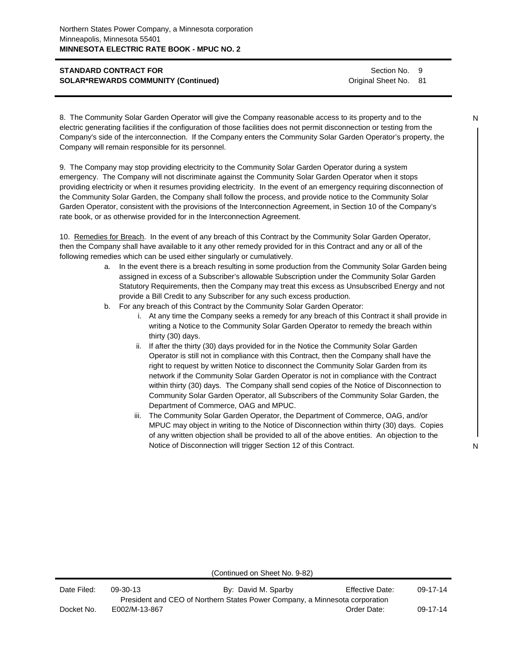Section No. 9 Original Sheet No. 81

8. The Community Solar Garden Operator will give the Company reasonable access to its property and to the electric generating facilities if the configuration of those facilities does not permit disconnection or testing from the Company's side of the interconnection. If the Company enters the Community Solar Garden Operator's property, the Company will remain responsible for its personnel.

9. The Company may stop providing electricity to the Community Solar Garden Operator during a system emergency. The Company will not discriminate against the Community Solar Garden Operator when it stops providing electricity or when it resumes providing electricity. In the event of an emergency requiring disconnection of the Community Solar Garden, the Company shall follow the process, and provide notice to the Community Solar Garden Operator, consistent with the provisions of the Interconnection Agreement, in Section 10 of the Company's rate book, or as otherwise provided for in the Interconnection Agreement.

10. Remedies for Breach. In the event of any breach of this Contract by the Community Solar Garden Operator, then the Company shall have available to it any other remedy provided for in this Contract and any or all of the following remedies which can be used either singularly or cumulatively.

- a. In the event there is a breach resulting in some production from the Community Solar Garden being assigned in excess of a Subscriber's allowable Subscription under the Community Solar Garden Statutory Requirements, then the Company may treat this excess as Unsubscribed Energy and not provide a Bill Credit to any Subscriber for any such excess production.
- b. For any breach of this Contract by the Community Solar Garden Operator:
	- i. At any time the Company seeks a remedy for any breach of this Contract it shall provide in writing a Notice to the Community Solar Garden Operator to remedy the breach within thirty (30) days.
	- ii. If after the thirty (30) days provided for in the Notice the Community Solar Garden Operator is still not in compliance with this Contract, then the Company shall have the right to request by written Notice to disconnect the Community Solar Garden from its network if the Community Solar Garden Operator is not in compliance with the Contract within thirty (30) days. The Company shall send copies of the Notice of Disconnection to Community Solar Garden Operator, all Subscribers of the Community Solar Garden, the Department of Commerce, OAG and MPUC.
	- iii. The Community Solar Garden Operator, the Department of Commerce, OAG, and/or MPUC may object in writing to the Notice of Disconnection within thirty (30) days. Copies of any written objection shall be provided to all of the above entities. An objection to the Notice of Disconnection will trigger Section 12 of this Contract.

N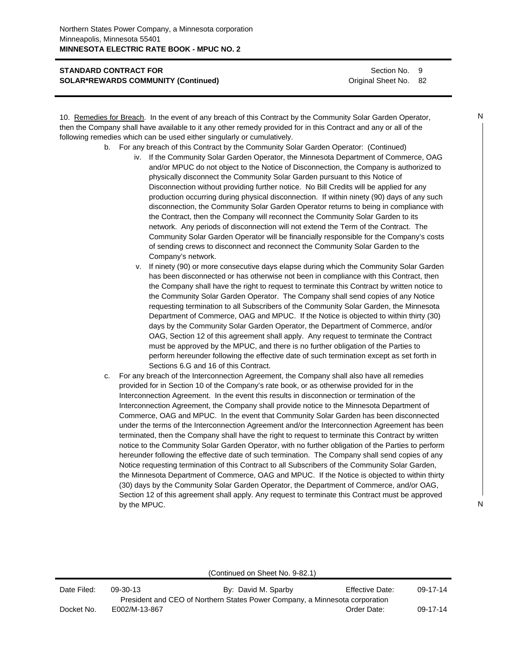Section No. 9 Original Sheet No. 82

10. Remedies for Breach. In the event of any breach of this Contract by the Community Solar Garden Operator, then the Company shall have available to it any other remedy provided for in this Contract and any or all of the following remedies which can be used either singularly or cumulatively.

- b. For any breach of this Contract by the Community Solar Garden Operator: (Continued)
	- iv. If the Community Solar Garden Operator, the Minnesota Department of Commerce, OAG and/or MPUC do not object to the Notice of Disconnection, the Company is authorized to physically disconnect the Community Solar Garden pursuant to this Notice of Disconnection without providing further notice. No Bill Credits will be applied for any production occurring during physical disconnection. If within ninety (90) days of any such disconnection, the Community Solar Garden Operator returns to being in compliance with the Contract, then the Company will reconnect the Community Solar Garden to its network. Any periods of disconnection will not extend the Term of the Contract. The Community Solar Garden Operator will be financially responsible for the Company's costs of sending crews to disconnect and reconnect the Community Solar Garden to the Company's network.
	- v. If ninety (90) or more consecutive days elapse during which the Community Solar Garden has been disconnected or has otherwise not been in compliance with this Contract, then the Company shall have the right to request to terminate this Contract by written notice to the Community Solar Garden Operator. The Company shall send copies of any Notice requesting termination to all Subscribers of the Community Solar Garden, the Minnesota Department of Commerce, OAG and MPUC. If the Notice is objected to within thirty (30) days by the Community Solar Garden Operator, the Department of Commerce, and/or OAG, Section 12 of this agreement shall apply. Any request to terminate the Contract must be approved by the MPUC, and there is no further obligation of the Parties to perform hereunder following the effective date of such termination except as set forth in Sections 6.G and 16 of this Contract.
- c. For any breach of the Interconnection Agreement, the Company shall also have all remedies provided for in Section 10 of the Company's rate book, or as otherwise provided for in the Interconnection Agreement. In the event this results in disconnection or termination of the Interconnection Agreement, the Company shall provide notice to the Minnesota Department of Commerce, OAG and MPUC. In the event that Community Solar Garden has been disconnected under the terms of the Interconnection Agreement and/or the Interconnection Agreement has been terminated, then the Company shall have the right to request to terminate this Contract by written notice to the Community Solar Garden Operator, with no further obligation of the Parties to perform hereunder following the effective date of such termination. The Company shall send copies of any Notice requesting termination of this Contract to all Subscribers of the Community Solar Garden, the Minnesota Department of Commerce, OAG and MPUC. If the Notice is objected to within thirty (30) days by the Community Solar Garden Operator, the Department of Commerce, and/or OAG, Section 12 of this agreement shall apply. Any request to terminate this Contract must be approved by the MPUC.

| Date Filed: | 09-30-13      | By: David M. Sparby                                                         | <b>Effective Date:</b> | $09-17-14$ |
|-------------|---------------|-----------------------------------------------------------------------------|------------------------|------------|
|             |               | President and CEO of Northern States Power Company, a Minnesota corporation |                        |            |
| Docket No.  | E002/M-13-867 |                                                                             | Order Date:            | $09-17-14$ |

N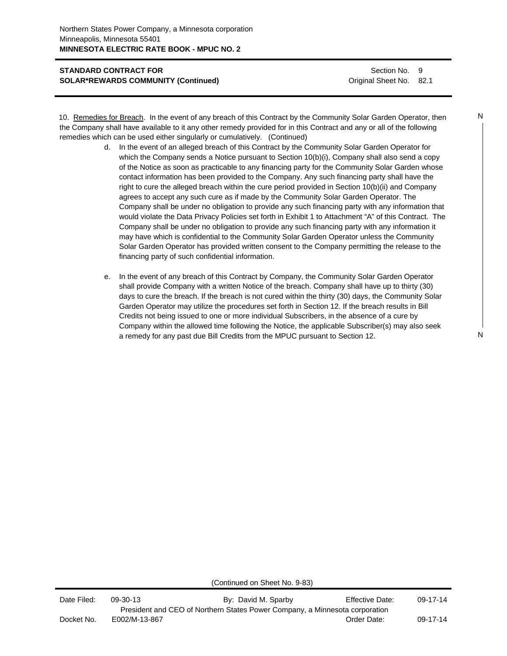Section No. 9 Original Sheet No. 82.1

| 10. Remedies for Breach. In the event of any breach of this Contract by the Community Solar Garden Operator, then     |  |
|-----------------------------------------------------------------------------------------------------------------------|--|
| the Company shall have available to it any other remedy provided for in this Contract and any or all of the following |  |
| remedies which can be used either singularly or cumulatively. (Continued)                                             |  |

- d. In the event of an alleged breach of this Contract by the Community Solar Garden Operator for which the Company sends a Notice pursuant to Section 10(b)(i), Company shall also send a copy of the Notice as soon as practicable to any financing party for the Community Solar Garden whose contact information has been provided to the Company. Any such financing party shall have the right to cure the alleged breach within the cure period provided in Section 10(b)(ii) and Company agrees to accept any such cure as if made by the Community Solar Garden Operator. The Company shall be under no obligation to provide any such financing party with any information that would violate the Data Privacy Policies set forth in Exhibit 1 to Attachment "A" of this Contract. The Company shall be under no obligation to provide any such financing party with any information it may have which is confidential to the Community Solar Garden Operator unless the Community Solar Garden Operator has provided written consent to the Company permitting the release to the financing party of such confidential information.
- e. In the event of any breach of this Contract by Company, the Community Solar Garden Operator shall provide Company with a written Notice of the breach. Company shall have up to thirty (30) days to cure the breach. If the breach is not cured within the thirty (30) days, the Community Solar Garden Operator may utilize the procedures set forth in Section 12. If the breach results in Bill Credits not being issued to one or more individual Subscribers, in the absence of a cure by Company within the allowed time following the Notice, the applicable Subscriber(s) may also seek a remedy for any past due Bill Credits from the MPUC pursuant to Section 12.

N

N

(Continued on Sheet No. 9-83)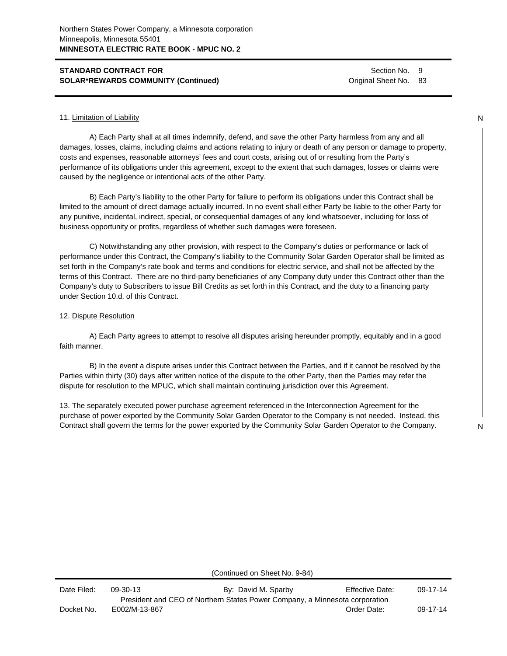Section No. 9 Original Sheet No. 83

#### 11. Limitation of Liability

A) Each Party shall at all times indemnify, defend, and save the other Party harmless from any and all damages, losses, claims, including claims and actions relating to injury or death of any person or damage to property, costs and expenses, reasonable attorneys' fees and court costs, arising out of or resulting from the Party's performance of its obligations under this agreement, except to the extent that such damages, losses or claims were caused by the negligence or intentional acts of the other Party.

B) Each Party's liability to the other Party for failure to perform its obligations under this Contract shall be limited to the amount of direct damage actually incurred. In no event shall either Party be liable to the other Party for any punitive, incidental, indirect, special, or consequential damages of any kind whatsoever, including for loss of business opportunity or profits, regardless of whether such damages were foreseen.

C) Notwithstanding any other provision, with respect to the Company's duties or performance or lack of performance under this Contract, the Company's liability to the Community Solar Garden Operator shall be limited as set forth in the Company's rate book and terms and conditions for electric service, and shall not be affected by the terms of this Contract. There are no third-party beneficiaries of any Company duty under this Contract other than the Company's duty to Subscribers to issue Bill Credits as set forth in this Contract, and the duty to a financing party under Section 10.d. of this Contract.

#### 12. Dispute Resolution

A) Each Party agrees to attempt to resolve all disputes arising hereunder promptly, equitably and in a good faith manner.

B) In the event a dispute arises under this Contract between the Parties, and if it cannot be resolved by the Parties within thirty (30) days after written notice of the dispute to the other Party, then the Parties may refer the dispute for resolution to the MPUC, which shall maintain continuing jurisdiction over this Agreement.

13. The separately executed power purchase agreement referenced in the Interconnection Agreement for the purchase of power exported by the Community Solar Garden Operator to the Company is not needed. Instead, this Contract shall govern the terms for the power exported by the Community Solar Garden Operator to the Company.

(Continued on Sheet No. 9-84)

N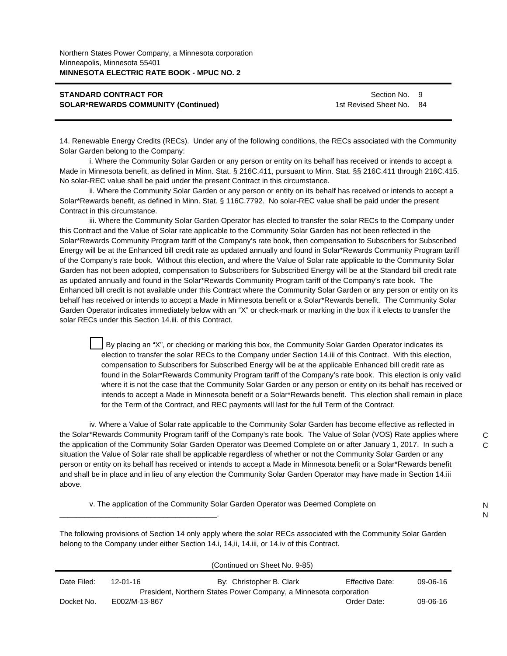\_\_\_\_\_\_\_\_\_\_\_\_\_\_\_\_\_\_\_\_\_\_\_\_\_\_\_\_\_\_\_\_\_\_\_\_\_\_.

Section No. 9 1st Revised Sheet No. 84

14. Renewable Energy Credits (RECs). Under any of the following conditions, the RECs associated with the Community Solar Garden belong to the Company:

i. Where the Community Solar Garden or any person or entity on its behalf has received or intends to accept a Made in Minnesota benefit, as defined in Minn. Stat. § 216C.411, pursuant to Minn. Stat. §§ 216C.411 through 216C.415. No solar-REC value shall be paid under the present Contract in this circumstance.

ii. Where the Community Solar Garden or any person or entity on its behalf has received or intends to accept a Solar\*Rewards benefit, as defined in Minn. Stat. § 116C.7792. No solar-REC value shall be paid under the present Contract in this circumstance.

iii. Where the Community Solar Garden Operator has elected to transfer the solar RECs to the Company under this Contract and the Value of Solar rate applicable to the Community Solar Garden has not been reflected in the Solar\*Rewards Community Program tariff of the Company's rate book, then compensation to Subscribers for Subscribed Energy will be at the Enhanced bill credit rate as updated annually and found in Solar\*Rewards Community Program tariff of the Company's rate book. Without this election, and where the Value of Solar rate applicable to the Community Solar Garden has not been adopted, compensation to Subscribers for Subscribed Energy will be at the Standard bill credit rate as updated annually and found in the Solar\*Rewards Community Program tariff of the Company's rate book. The Enhanced bill credit is not available under this Contract where the Community Solar Garden or any person or entity on its behalf has received or intends to accept a Made in Minnesota benefit or a Solar\*Rewards benefit. The Community Solar Garden Operator indicates immediately below with an "X" or check-mark or marking in the box if it elects to transfer the solar RECs under this Section 14.iii. of this Contract.

By placing an "X", or checking or marking this box, the Community Solar Garden Operator indicates its election to transfer the solar RECs to the Company under Section 14.iii of this Contract. With this election, compensation to Subscribers for Subscribed Energy will be at the applicable Enhanced bill credit rate as found in the Solar\*Rewards Community Program tariff of the Company's rate book. This election is only valid where it is not the case that the Community Solar Garden or any person or entity on its behalf has received or intends to accept a Made in Minnesota benefit or a Solar\*Rewards benefit. This election shall remain in place for the Term of the Contract, and REC payments will last for the full Term of the Contract.

iv. Where a Value of Solar rate applicable to the Community Solar Garden has become effective as reflected in the Solar\*Rewards Community Program tariff of the Company's rate book. The Value of Solar (VOS) Rate applies where the application of the Community Solar Garden Operator was Deemed Complete on or after January 1, 2017. In such a situation the Value of Solar rate shall be applicable regardless of whether or not the Community Solar Garden or any person or entity on its behalf has received or intends to accept a Made in Minnesota benefit or a Solar\*Rewards benefit and shall be in place and in lieu of any election the Community Solar Garden Operator may have made in Section 14.iii above.

v. The application of the Community Solar Garden Operator was Deemed Complete on

N N

 $\mathsf{C}$  $\mathcal{C}$ 

The following provisions of Section 14 only apply where the solar RECs associated with the Community Solar Garden belong to the Company under either Section 14.i, 14,ii, 14.iii, or 14.iv of this Contract.

|             |               | (Continued on Sheet No. 9-85)                                     |                        |          |
|-------------|---------------|-------------------------------------------------------------------|------------------------|----------|
| Date Filed: | 12-01-16      | By: Christopher B. Clark                                          | <b>Effective Date:</b> | 09-06-16 |
|             |               | President, Northern States Power Company, a Minnesota corporation |                        |          |
| Docket No.  | E002/M-13-867 |                                                                   | Order Date:            | 09-06-16 |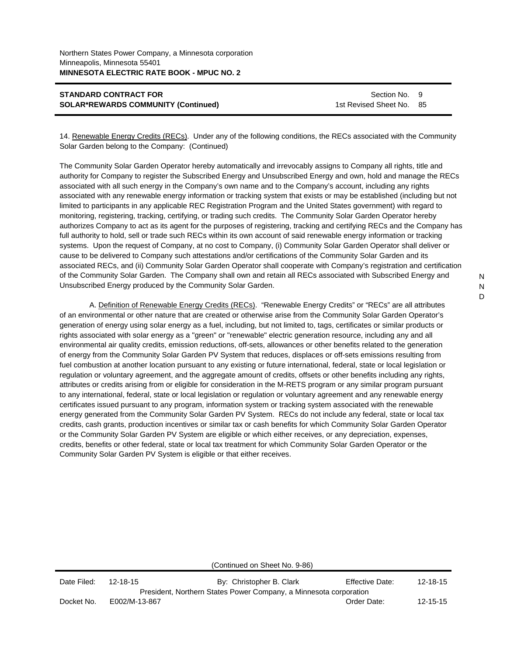| <b>STANDARD CONTRACT FOR</b>               |  |
|--------------------------------------------|--|
| <b>SOLAR*REWARDS COMMUNITY (Continued)</b> |  |

Section No. 9 1st Revised Sheet No. 85

14. Renewable Energy Credits (RECs). Under any of the following conditions, the RECs associated with the Community Solar Garden belong to the Company: (Continued)

The Community Solar Garden Operator hereby automatically and irrevocably assigns to Company all rights, title and authority for Company to register the Subscribed Energy and Unsubscribed Energy and own, hold and manage the RECs associated with all such energy in the Company's own name and to the Company's account, including any rights associated with any renewable energy information or tracking system that exists or may be established (including but not limited to participants in any applicable REC Registration Program and the United States government) with regard to monitoring, registering, tracking, certifying, or trading such credits. The Community Solar Garden Operator hereby authorizes Company to act as its agent for the purposes of registering, tracking and certifying RECs and the Company has full authority to hold, sell or trade such RECs within its own account of said renewable energy information or tracking systems. Upon the request of Company, at no cost to Company, (i) Community Solar Garden Operator shall deliver or cause to be delivered to Company such attestations and/or certifications of the Community Solar Garden and its associated RECs, and (ii) Community Solar Garden Operator shall cooperate with Company's registration and certification of the Community Solar Garden. The Company shall own and retain all RECs associated with Subscribed Energy and Unsubscribed Energy produced by the Community Solar Garden.

A. Definition of Renewable Energy Credits (RECs). "Renewable Energy Credits" or "RECs" are all attributes of an environmental or other nature that are created or otherwise arise from the Community Solar Garden Operator's generation of energy using solar energy as a fuel, including, but not limited to, tags, certificates or similar products or rights associated with solar energy as a "green" or "renewable" electric generation resource, including any and all environmental air quality credits, emission reductions, off-sets, allowances or other benefits related to the generation of energy from the Community Solar Garden PV System that reduces, displaces or off-sets emissions resulting from fuel combustion at another location pursuant to any existing or future international, federal, state or local legislation or regulation or voluntary agreement, and the aggregate amount of credits, offsets or other benefits including any rights, attributes or credits arising from or eligible for consideration in the M-RETS program or any similar program pursuant to any international, federal, state or local legislation or regulation or voluntary agreement and any renewable energy certificates issued pursuant to any program, information system or tracking system associated with the renewable energy generated from the Community Solar Garden PV System. RECs do not include any federal, state or local tax credits, cash grants, production incentives or similar tax or cash benefits for which Community Solar Garden Operator or the Community Solar Garden PV System are eligible or which either receives, or any depreciation, expenses, credits, benefits or other federal, state or local tax treatment for which Community Solar Garden Operator or the Community Solar Garden PV System is eligible or that either receives.

|             |               | (Continued on Sheet No. 9-86)                                     |                 |                |
|-------------|---------------|-------------------------------------------------------------------|-----------------|----------------|
| Date Filed: | 12-18-15      | By: Christopher B. Clark                                          | Effective Date: | $12 - 18 - 15$ |
|             |               | President, Northern States Power Company, a Minnesota corporation |                 |                |
| Docket No.  | E002/M-13-867 |                                                                   | Order Date:     | $12 - 15 - 15$ |
|             |               |                                                                   |                 |                |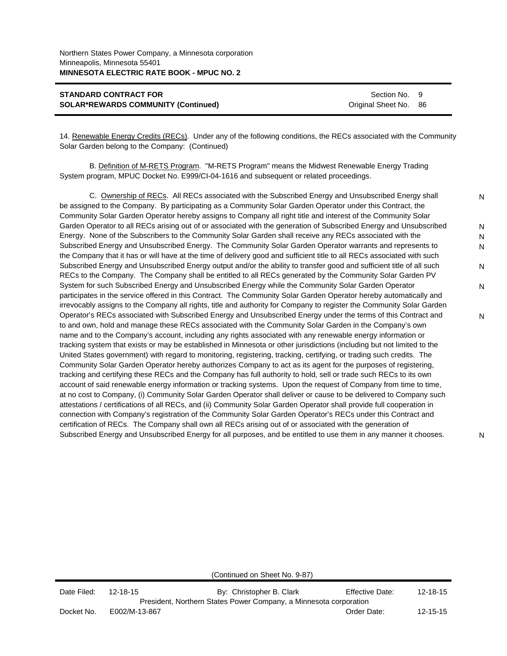| <b>STANDARD CONTRACT FOR</b>               | Section No. 9         |  |
|--------------------------------------------|-----------------------|--|
| <b>SOLAR*REWARDS COMMUNITY (Continued)</b> | Original Sheet No. 86 |  |

14. Renewable Energy Credits (RECs). Under any of the following conditions, the RECs associated with the Community Solar Garden belong to the Company: (Continued)

B. Definition of M-RETS Program. "M-RETS Program" means the Midwest Renewable Energy Trading System program, MPUC Docket No. E999/CI-04-1616 and subsequent or related proceedings.

C. Ownership of RECs. All RECs associated with the Subscribed Energy and Unsubscribed Energy shall be assigned to the Company. By participating as a Community Solar Garden Operator under this Contract, the Community Solar Garden Operator hereby assigns to Company all right title and interest of the Community Solar Garden Operator to all RECs arising out of or associated with the generation of Subscribed Energy and Unsubscribed Energy. None of the Subscribers to the Community Solar Garden shall receive any RECs associated with the Subscribed Energy and Unsubscribed Energy. The Community Solar Garden Operator warrants and represents to the Company that it has or will have at the time of delivery good and sufficient title to all RECs associated with such Subscribed Energy and Unsubscribed Energy output and/or the ability to transfer good and sufficient title of all such RECs to the Company. The Company shall be entitled to all RECs generated by the Community Solar Garden PV System for such Subscribed Energy and Unsubscribed Energy while the Community Solar Garden Operator participates in the service offered in this Contract. The Community Solar Garden Operator hereby automatically and irrevocably assigns to the Company all rights, title and authority for Company to register the Community Solar Garden Operator's RECs associated with Subscribed Energy and Unsubscribed Energy under the terms of this Contract and to and own, hold and manage these RECs associated with the Community Solar Garden in the Company's own name and to the Company's account, including any rights associated with any renewable energy information or tracking system that exists or may be established in Minnesota or other jurisdictions (including but not limited to the United States government) with regard to monitoring, registering, tracking, certifying, or trading such credits. The Community Solar Garden Operator hereby authorizes Company to act as its agent for the purposes of registering, tracking and certifying these RECs and the Company has full authority to hold, sell or trade such RECs to its own account of said renewable energy information or tracking systems. Upon the request of Company from time to time, at no cost to Company, (i) Community Solar Garden Operator shall deliver or cause to be delivered to Company such attestations / certifications of all RECs, and (ii) Community Solar Garden Operator shall provide full cooperation in connection with Company's registration of the Community Solar Garden Operator's RECs under this Contract and certification of RECs. The Company shall own all RECs arising out of or associated with the generation of Subscribed Energy and Unsubscribed Energy for all purposes, and be entitled to use them in any manner it chooses. N N N N N N N

(Continued on Sheet No. 9-87)

| Date Filed: | 12-18-15      | By: Christopher B. Clark                                          | Effective Date: | $12 - 18 - 15$ |
|-------------|---------------|-------------------------------------------------------------------|-----------------|----------------|
|             |               | President, Northern States Power Company, a Minnesota corporation |                 |                |
| Docket No.  | E002/M-13-867 |                                                                   | Order Date:     | $12 - 15 - 15$ |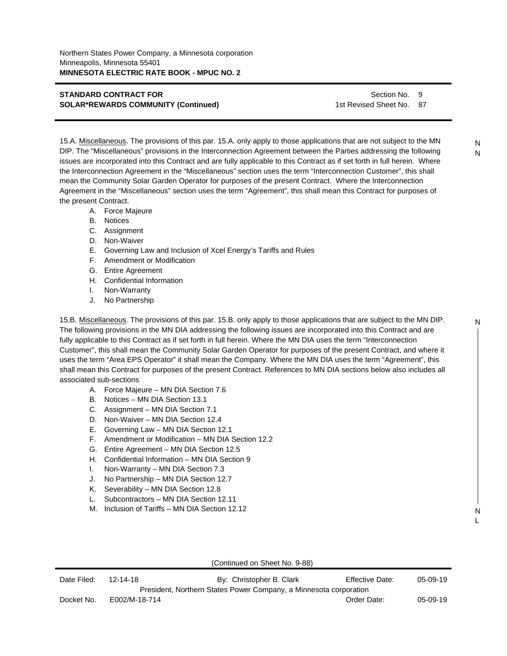Section No. 9 1st Revised Sheet No. 87

15.A. Miscellaneous. The provisions of this par. 15.A. only apply to those applications that are not subject to the MN DIP. The "Miscellaneous" provisions in the Interconnection Agreement between the Parties addressing the following issues are incorporated into this Contract and are fully applicable to this Contract as if set forth in full herein. Where the Interconnection Agreement in the "Miscellaneous" section uses the term "Interconnection Customer", this shall mean the Community Solar Garden Operator for purposes of the present Contract. Where the Interconnection Agreement in the "Miscellaneous" section uses the term "Agreement", this shall mean this Contract for purposes of the present Contract.

- A. Force Majeure
- B. Notices
- C. Assignment
- D. Non-Waiver
- E. Governing Law and Inclusion of Xcel Energy's Tariffs and Rules
- F. Amendment or Modification
- G. Entire Agreement
- H. Confidential Information
- I. Non-Warranty
- J. No Partnership

15.B. Miscellaneous. The provisions of this par. 15.B. only apply to those applications that are subject to the MN DIP. The following provisions in the MN DIA addressing the following issues are incorporated into this Contract and are fully applicable to this Contract as if set forth in full herein. Where the MN DIA uses the term "Interconnection Customer", this shall mean the Community Solar Garden Operator for purposes of the present Contract, and where it uses the term "Area EPS Operator" it shall mean the Company. Where the MN DIA uses the term "Agreement", this shall mean this Contract for purposes of the present Contract. References to MN DIA sections below also includes all associated sub-sections

- A. Force Majeure MN DIA Section 7.6
- B. Notices MN DIA Section 13.1
- C. Assignment MN DIA Section 7.1
- D. Non-Waiver MN DIA Section 12.4
- E. Governing Law MN DIA Section 12.1
- F. Amendment or Modification MN DIA Section 12.2
- G. Entire Agreement MN DIA Section 12.5
- H. Confidential Information MN DIA Section 9
- I. Non-Warranty MN DIA Section 7.3
- J. No Partnership MN DIA Section 12.7
- K. Severability MN DIA Section 12.8
- L. Subcontractors MN DIA Section 12.11
- M. Inclusion of Tariffs MN DIA Section 12.12

|             |                | (Continued on Sheet No. 9-88)                                     |                 |            |
|-------------|----------------|-------------------------------------------------------------------|-----------------|------------|
| Date Filed: | $12 - 14 - 18$ | By: Christopher B. Clark                                          | Effective Date: | $05-09-19$ |
|             |                | President, Northern States Power Company, a Minnesota corporation |                 |            |
| Docket No.  | E002/M-18-714  |                                                                   | Order Date:     | 05-09-19   |

N

N L

N N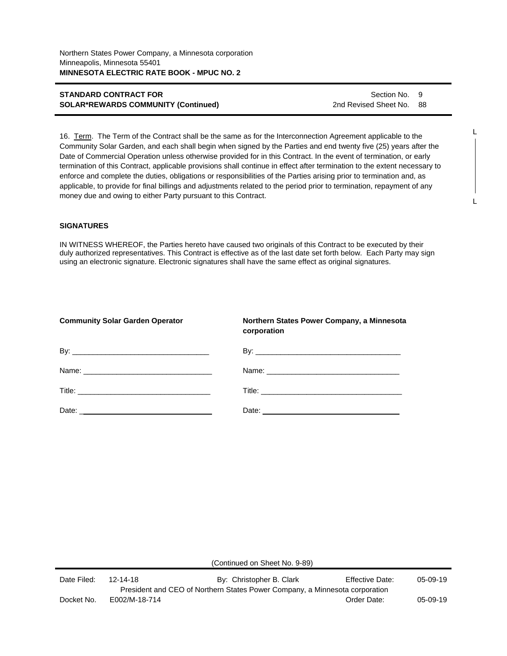Section No. 9 2nd Revised Sheet No. 88

16. Term. The Term of the Contract shall be the same as for the Interconnection Agreement applicable to the Community Solar Garden, and each shall begin when signed by the Parties and end twenty five (25) years after the Date of Commercial Operation unless otherwise provided for in this Contract. In the event of termination, or early termination of this Contract, applicable provisions shall continue in effect after termination to the extent necessary to enforce and complete the duties, obligations or responsibilities of the Parties arising prior to termination and, as applicable, to provide for final billings and adjustments related to the period prior to termination, repayment of any money due and owing to either Party pursuant to this Contract.

## **SIGNATURES**

IN WITNESS WHEREOF, the Parties hereto have caused two originals of this Contract to be executed by their duly authorized representatives. This Contract is effective as of the last date set forth below. Each Party may sign using an electronic signature. Electronic signatures shall have the same effect as original signatures.

| <b>Community Solar Garden Operator</b> | Northern States Power Company, a Minnesota<br>corporation |
|----------------------------------------|-----------------------------------------------------------|
|                                        |                                                           |
|                                        |                                                           |
|                                        |                                                           |
|                                        |                                                           |

(Continued on Sheet No. 9-89)

| Date Filed: | 12-14-18      | By: Christopher B. Clark                                                    | Effective Date: | 05-09-19   |
|-------------|---------------|-----------------------------------------------------------------------------|-----------------|------------|
|             |               | President and CEO of Northern States Power Company, a Minnesota corporation |                 |            |
| Docket No.  | E002/M-18-714 |                                                                             | Order Date:     | $05-09-19$ |

L

L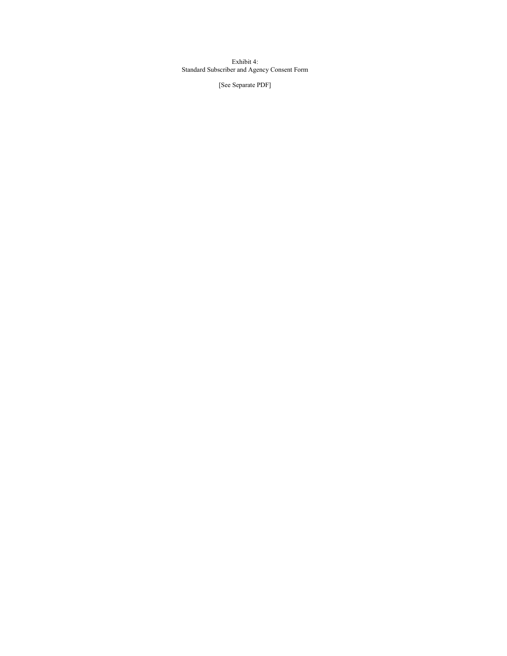Exhibit 4: Standard Subscriber and Agency Consent Form

[See Separate PDF]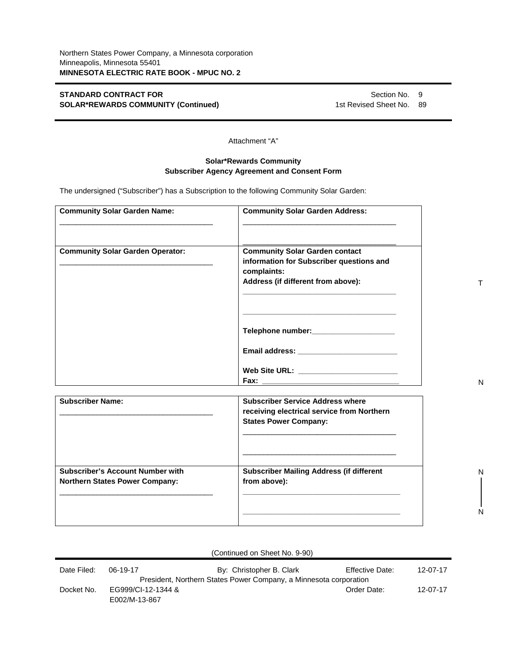Section No. 9 1st Revised Sheet No. 89

Attachment "A"

# **Solar\*Rewards Community Subscriber Agency Agreement and Consent Form**

The undersigned ("Subscriber") has a Subscription to the following Community Solar Garden:

| <b>Community Solar Garden Name:</b>                                              | <b>Community Solar Garden Address:</b>                                                                                                                                                  |  |
|----------------------------------------------------------------------------------|-----------------------------------------------------------------------------------------------------------------------------------------------------------------------------------------|--|
| <b>Community Solar Garden Operator:</b>                                          | <b>Community Solar Garden contact</b><br>information for Subscriber questions and<br>complaints:<br>Address (if different from above):                                                  |  |
|                                                                                  | the control of the control of the control of the control of the control of<br>Web Site URL: ________________________                                                                    |  |
| <b>Subscriber Name:</b>                                                          | <b>Subscriber Service Address where</b><br>receiving electrical service from Northern<br><b>States Power Company:</b>                                                                   |  |
| <b>Subscriber's Account Number with</b><br><b>Northern States Power Company:</b> | <u> 1989 - Johann John Stone, markin fan it ferstjer fan it ferstjer fan it ferstjer fan it ferstjer fan it fers</u><br><b>Subscriber Mailing Address (if different</b><br>from above): |  |

|             |                                     | (Continued on Sheet No. 9-90)                                     |                        |          |
|-------------|-------------------------------------|-------------------------------------------------------------------|------------------------|----------|
| Date Filed: | 06-19-17                            | By: Christopher B. Clark                                          | <b>Effective Date:</b> | 12-07-17 |
|             |                                     | President, Northern States Power Company, a Minnesota corporation |                        |          |
| Docket No.  | EG999/CI-12-1344 &<br>E002/M-13-867 |                                                                   | Order Date:            | 12-07-17 |

T

N

N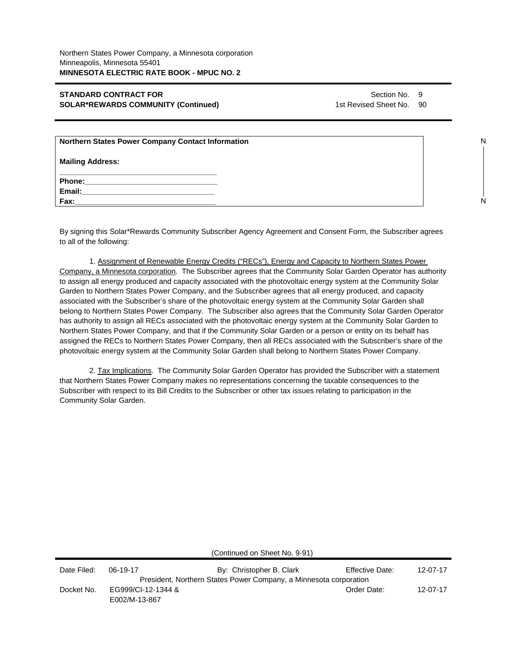Section No. 9 1st Revised Sheet No. 90

| <b>Northern States Power Company Contact Information</b>                                                      |  |
|---------------------------------------------------------------------------------------------------------------|--|
| <b>Mailing Address:</b>                                                                                       |  |
| Phone: 2000 2000 2010 2010 2010 2010 2021 2022 2022 2023 2024 2022 2023 2024 2022 2023 2024 2025 2026 2027 20 |  |
| <b>Email:</b> Email:                                                                                          |  |
| Fax:                                                                                                          |  |

By signing this Solar\*Rewards Community Subscriber Agency Agreement and Consent Form, the Subscriber agrees to all of the following:

1. Assignment of Renewable Energy Credits ("RECs"), Energy and Capacity to Northern States Power Company, a Minnesota corporation. The Subscriber agrees that the Community Solar Garden Operator has authority to assign all energy produced and capacity associated with the photovoltaic energy system at the Community Solar Garden to Northern States Power Company, and the Subscriber agrees that all energy produced, and capacity associated with the Subscriber's share of the photovoltaic energy system at the Community Solar Garden shall belong to Northern States Power Company. The Subscriber also agrees that the Community Solar Garden Operator has authority to assign all RECs associated with the photovoltaic energy system at the Community Solar Garden to Northern States Power Company, and that if the Community Solar Garden or a person or entity on its behalf has assigned the RECs to Northern States Power Company, then all RECs associated with the Subscriber's share of the photovoltaic energy system at the Community Solar Garden shall belong to Northern States Power Company.

2. Tax Implications. The Community Solar Garden Operator has provided the Subscriber with a statement that Northern States Power Company makes no representations concerning the taxable consequences to the Subscriber with respect to its Bill Credits to the Subscriber or other tax issues relating to participation in the Community Solar Garden.

(Continued on Sheet No. 9-91) Date Filed: 06-19-17 By: Christopher B. Clark Effective Date: 12-07-17 President, Northern States Power Company, a Minnesota corporation Docket No. EG999/CI-12-1344 & E002/M-13-867 Order Date: 12-07-17

N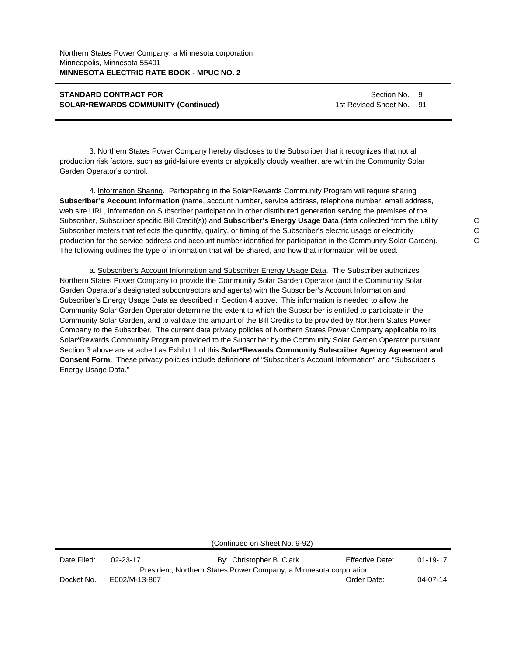Section No. 9 1st Revised Sheet No. 91

3. Northern States Power Company hereby discloses to the Subscriber that it recognizes that not all production risk factors, such as grid-failure events or atypically cloudy weather, are within the Community Solar Garden Operator's control.

4. Information Sharing. Participating in the Solar\*Rewards Community Program will require sharing **Subscriber's Account Information** (name, account number, service address, telephone number, email address, web site URL, information on Subscriber participation in other distributed generation serving the premises of the Subscriber, Subscriber specific Bill Credit(s)) and **Subscriber's Energy Usage Data** (data collected from the utility Subscriber meters that reflects the quantity, quality, or timing of the Subscriber's electric usage or electricity production for the service address and account number identified for participation in the Community Solar Garden). The following outlines the type of information that will be shared, and how that information will be used.

a. Subscriber's Account Information and Subscriber Energy Usage Data. The Subscriber authorizes Northern States Power Company to provide the Community Solar Garden Operator (and the Community Solar Garden Operator's designated subcontractors and agents) with the Subscriber's Account Information and Subscriber's Energy Usage Data as described in Section 4 above. This information is needed to allow the Community Solar Garden Operator determine the extent to which the Subscriber is entitled to participate in the Community Solar Garden, and to validate the amount of the Bill Credits to be provided by Northern States Power Company to the Subscriber. The current data privacy policies of Northern States Power Company applicable to its Solar\*Rewards Community Program provided to the Subscriber by the Community Solar Garden Operator pursuant Section 3 above are attached as Exhibit 1 of this **Solar\*Rewards Community Subscriber Agency Agreement and Consent Form.** These privacy policies include definitions of "Subscriber's Account Information" and "Subscriber's Energy Usage Data."

(Continued on Sheet No. 9-92)

| Date Filed: | $02 - 23 - 17$ | By: Christopher B. Clark                                          | Effective Date: | $01 - 19 - 17$ |
|-------------|----------------|-------------------------------------------------------------------|-----------------|----------------|
|             |                | President, Northern States Power Company, a Minnesota corporation |                 |                |
| Docket No.  | E002/M-13-867  |                                                                   | Order Date:     | 04-07-14       |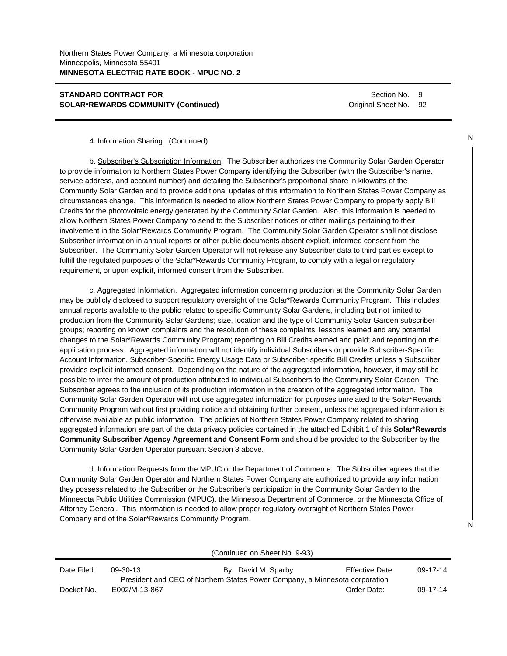Section No. 9 Original Sheet No. 92

#### 4. Information Sharing. (Continued)

b. Subscriber's Subscription Information: The Subscriber authorizes the Community Solar Garden Operator to provide information to Northern States Power Company identifying the Subscriber (with the Subscriber's name, service address, and account number) and detailing the Subscriber's proportional share in kilowatts of the Community Solar Garden and to provide additional updates of this information to Northern States Power Company as circumstances change. This information is needed to allow Northern States Power Company to properly apply Bill Credits for the photovoltaic energy generated by the Community Solar Garden. Also, this information is needed to allow Northern States Power Company to send to the Subscriber notices or other mailings pertaining to their involvement in the Solar\*Rewards Community Program. The Community Solar Garden Operator shall not disclose Subscriber information in annual reports or other public documents absent explicit, informed consent from the Subscriber. The Community Solar Garden Operator will not release any Subscriber data to third parties except to fulfill the regulated purposes of the Solar\*Rewards Community Program, to comply with a legal or regulatory requirement, or upon explicit, informed consent from the Subscriber.

c. Aggregated Information. Aggregated information concerning production at the Community Solar Garden may be publicly disclosed to support regulatory oversight of the Solar\*Rewards Community Program. This includes annual reports available to the public related to specific Community Solar Gardens, including but not limited to production from the Community Solar Gardens; size, location and the type of Community Solar Garden subscriber groups; reporting on known complaints and the resolution of these complaints; lessons learned and any potential changes to the Solar\*Rewards Community Program; reporting on Bill Credits earned and paid; and reporting on the application process. Aggregated information will not identify individual Subscribers or provide Subscriber-Specific Account Information, Subscriber-Specific Energy Usage Data or Subscriber-specific Bill Credits unless a Subscriber provides explicit informed consent. Depending on the nature of the aggregated information, however, it may still be possible to infer the amount of production attributed to individual Subscribers to the Community Solar Garden. The Subscriber agrees to the inclusion of its production information in the creation of the aggregated information. The Community Solar Garden Operator will not use aggregated information for purposes unrelated to the Solar\*Rewards Community Program without first providing notice and obtaining further consent, unless the aggregated information is otherwise available as public information. The policies of Northern States Power Company related to sharing aggregated information are part of the data privacy policies contained in the attached Exhibit 1 of this **Solar\*Rewards Community Subscriber Agency Agreement and Consent Form** and should be provided to the Subscriber by the Community Solar Garden Operator pursuant Section 3 above.

d. Information Requests from the MPUC or the Department of Commerce. The Subscriber agrees that the Community Solar Garden Operator and Northern States Power Company are authorized to provide any information they possess related to the Subscriber or the Subscriber's participation in the Community Solar Garden to the Minnesota Public Utilities Commission (MPUC), the Minnesota Department of Commerce, or the Minnesota Office of Attorney General. This information is needed to allow proper regulatory oversight of Northern States Power Company and of the Solar\*Rewards Community Program.

| (Continued on Sheet No. 9-93) |               |                                                                             |                        |                |
|-------------------------------|---------------|-----------------------------------------------------------------------------|------------------------|----------------|
| Date Filed:                   | 09-30-13      | By: David M. Sparby                                                         | <b>Effective Date:</b> | $09 - 17 - 14$ |
|                               |               | President and CEO of Northern States Power Company, a Minnesota corporation |                        |                |
| Docket No.                    | E002/M-13-867 |                                                                             | Order Date:            | 09-17-14       |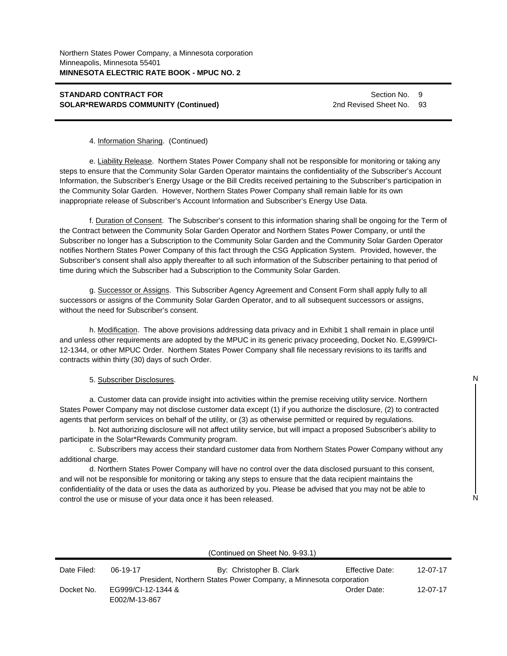Section No. 9 2nd Revised Sheet No. 93

#### 4. Information Sharing. (Continued)

e. Liability Release. Northern States Power Company shall not be responsible for monitoring or taking any steps to ensure that the Community Solar Garden Operator maintains the confidentiality of the Subscriber's Account Information, the Subscriber's Energy Usage or the Bill Credits received pertaining to the Subscriber's participation in the Community Solar Garden. However, Northern States Power Company shall remain liable for its own inappropriate release of Subscriber's Account Information and Subscriber's Energy Use Data.

f. Duration of Consent. The Subscriber's consent to this information sharing shall be ongoing for the Term of the Contract between the Community Solar Garden Operator and Northern States Power Company, or until the Subscriber no longer has a Subscription to the Community Solar Garden and the Community Solar Garden Operator notifies Northern States Power Company of this fact through the CSG Application System. Provided, however, the Subscriber's consent shall also apply thereafter to all such information of the Subscriber pertaining to that period of time during which the Subscriber had a Subscription to the Community Solar Garden.

g. Successor or Assigns. This Subscriber Agency Agreement and Consent Form shall apply fully to all successors or assigns of the Community Solar Garden Operator, and to all subsequent successors or assigns, without the need for Subscriber's consent.

h. Modification. The above provisions addressing data privacy and in Exhibit 1 shall remain in place until and unless other requirements are adopted by the MPUC in its generic privacy proceeding, Docket No. E,G999/CI-12-1344, or other MPUC Order. Northern States Power Company shall file necessary revisions to its tariffs and contracts within thirty (30) days of such Order.

#### 5. Subscriber Disclosures.

a. Customer data can provide insight into activities within the premise receiving utility service. Northern States Power Company may not disclose customer data except (1) if you authorize the disclosure, (2) to contracted agents that perform services on behalf of the utility, or (3) as otherwise permitted or required by regulations.

b. Not authorizing disclosure will not affect utility service, but will impact a proposed Subscriber's ability to participate in the Solar\*Rewards Community program.

c. Subscribers may access their standard customer data from Northern States Power Company without any additional charge.

d. Northern States Power Company will have no control over the data disclosed pursuant to this consent, and will not be responsible for monitoring or taking any steps to ensure that the data recipient maintains the confidentiality of the data or uses the data as authorized by you. Please be advised that you may not be able to control the use or misuse of your data once it has been released.

|             | (Continued on Sheet No. 9-93.1)     |                                                                   |                 |          |  |
|-------------|-------------------------------------|-------------------------------------------------------------------|-----------------|----------|--|
| Date Filed: | 06-19-17                            | By: Christopher B. Clark                                          | Effective Date: | 12-07-17 |  |
|             |                                     | President, Northern States Power Company, a Minnesota corporation |                 |          |  |
| Docket No.  | EG999/CI-12-1344 &<br>E002/M-13-867 |                                                                   | Order Date:     | 12-07-17 |  |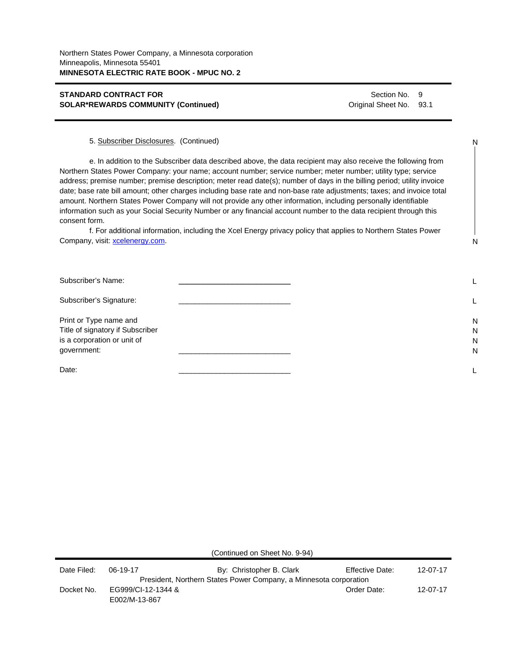Section No. 9 Original Sheet No. 93.1

N

N

5. Subscriber Disclosures. (Continued)

e. In addition to the Subscriber data described above, the data recipient may also receive the following from Northern States Power Company: your name; account number; service number; meter number; utility type; service address; premise number; premise description; meter read date(s); number of days in the billing period; utility invoice date; base rate bill amount; other charges including base rate and non-base rate adjustments; taxes; and invoice total amount. Northern States Power Company will not provide any other information, including personally identifiable information such as your Social Security Number or any financial account number to the data recipient through this consent form.

f. For additional information, including the Xcel Energy privacy policy that applies to Northern States Power Company, visit: xcelenergy.com.

| Subscriber's Name:                                                                                       |                  |
|----------------------------------------------------------------------------------------------------------|------------------|
| Subscriber's Signature:                                                                                  |                  |
| Print or Type name and<br>Title of signatory if Subscriber<br>is a corporation or unit of<br>government: | N<br>N<br>N<br>N |
| Date:                                                                                                    |                  |

| (Continued on Sheet No. 9-94) |  |  |  |
|-------------------------------|--|--|--|
|-------------------------------|--|--|--|

| Date Filed: | 06-19-17           | By: Christopher B. Clark                                          | <b>Effective Date:</b> | 12-07-17 |
|-------------|--------------------|-------------------------------------------------------------------|------------------------|----------|
|             |                    | President, Northern States Power Company, a Minnesota corporation |                        |          |
| Docket No.  | EG999/CI-12-1344 & |                                                                   | Order Date:            | 12-07-17 |
|             | E002/M-13-867      |                                                                   |                        |          |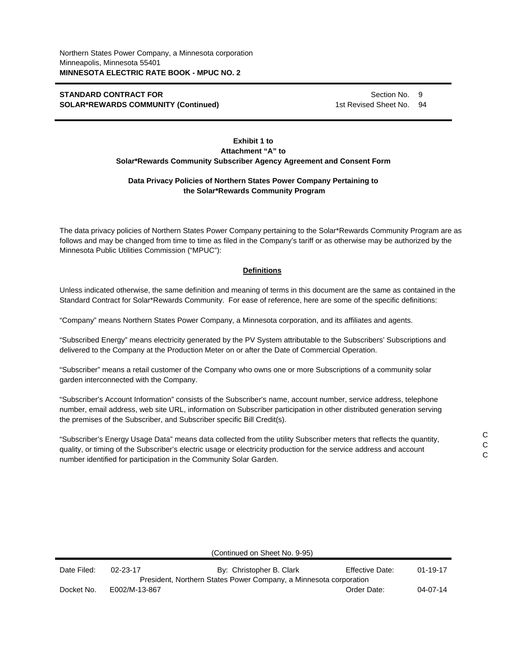Section No. 9 1st Revised Sheet No. 94

## **Exhibit 1 to Attachment "A" to Solar\*Rewards Community Subscriber Agency Agreement and Consent Form**

## **Data Privacy Policies of Northern States Power Company Pertaining to the Solar\*Rewards Community Program**

The data privacy policies of Northern States Power Company pertaining to the Solar\*Rewards Community Program are as follows and may be changed from time to time as filed in the Company's tariff or as otherwise may be authorized by the Minnesota Public Utilities Commission ("MPUC"):

## **Definitions**

Unless indicated otherwise, the same definition and meaning of terms in this document are the same as contained in the Standard Contract for Solar\*Rewards Community. For ease of reference, here are some of the specific definitions:

"Company" means Northern States Power Company, a Minnesota corporation, and its affiliates and agents.

"Subscribed Energy" means electricity generated by the PV System attributable to the Subscribers' Subscriptions and delivered to the Company at the Production Meter on or after the Date of Commercial Operation.

"Subscriber" means a retail customer of the Company who owns one or more Subscriptions of a community solar garden interconnected with the Company.

"Subscriber's Account Information" consists of the Subscriber's name, account number, service address, telephone number, email address, web site URL, information on Subscriber participation in other distributed generation serving the premises of the Subscriber, and Subscriber specific Bill Credit(s).

"Subscriber's Energy Usage Data" means data collected from the utility Subscriber meters that reflects the quantity, quality, or timing of the Subscriber's electric usage or electricity production for the service address and account number identified for participation in the Community Solar Garden.

|             |                | (Continued on Sheet No. 9-95)                                     |                        |                |
|-------------|----------------|-------------------------------------------------------------------|------------------------|----------------|
| Date Filed: | $02 - 23 - 17$ | By: Christopher B. Clark                                          | <b>Effective Date:</b> | $01 - 19 - 17$ |
|             |                | President, Northern States Power Company, a Minnesota corporation |                        |                |
| Docket No.  | E002/M-13-867  |                                                                   | Order Date:            | $04 - 07 - 14$ |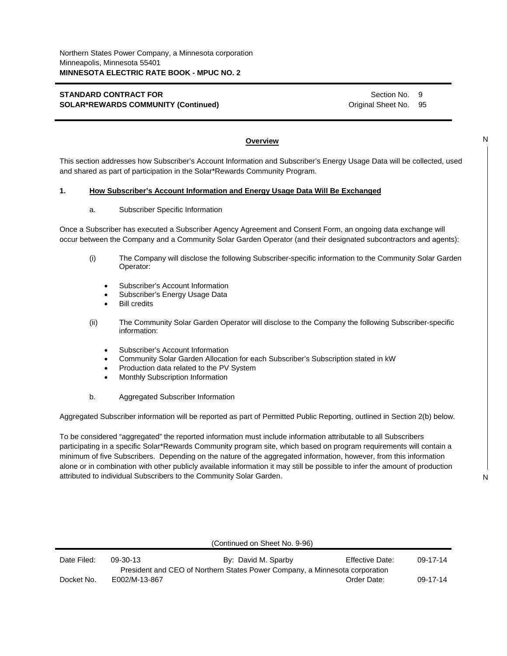Section No. 9 Original Sheet No. 95

## **Overview**

This section addresses how Subscriber's Account Information and Subscriber's Energy Usage Data will be collected, used and shared as part of participation in the Solar\*Rewards Community Program.

## **1. How Subscriber's Account Information and Energy Usage Data Will Be Exchanged**

#### a. Subscriber Specific Information

Once a Subscriber has executed a Subscriber Agency Agreement and Consent Form, an ongoing data exchange will occur between the Company and a Community Solar Garden Operator (and their designated subcontractors and agents):

- (i) The Company will disclose the following Subscriber-specific information to the Community Solar Garden Operator:
	- Subscriber's Account Information
	- Subscriber's Energy Usage Data
	- Bill credits
- (ii) The Community Solar Garden Operator will disclose to the Company the following Subscriber-specific information:
	- Subscriber's Account Information
	- Community Solar Garden Allocation for each Subscriber's Subscription stated in kW
	- Production data related to the PV System
	- Monthly Subscription Information
- b. Aggregated Subscriber Information

Aggregated Subscriber information will be reported as part of Permitted Public Reporting, outlined in Section 2(b) below.

To be considered "aggregated" the reported information must include information attributable to all Subscribers participating in a specific Solar\*Rewards Community program site, which based on program requirements will contain a minimum of five Subscribers. Depending on the nature of the aggregated information, however, from this information alone or in combination with other publicly available information it may still be possible to infer the amount of production attributed to individual Subscribers to the Community Solar Garden.

N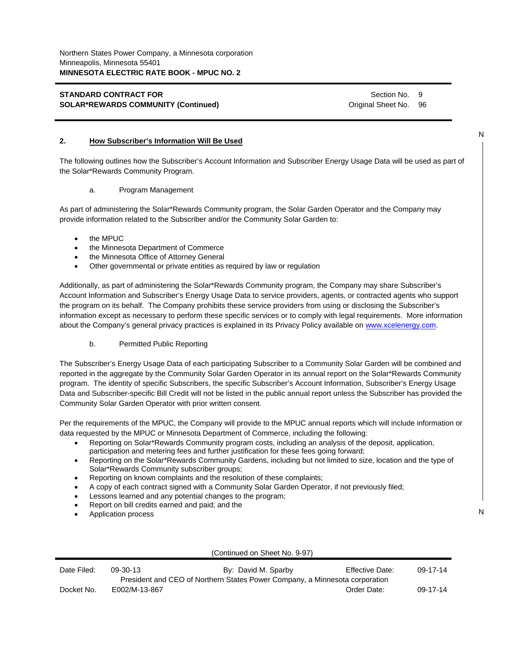Section No. 9 Original Sheet No. 96

## **2. How Subscriber's Information Will Be Used**

The following outlines how the Subscriber's Account Information and Subscriber Energy Usage Data will be used as part of the Solar\*Rewards Community Program.

#### a. Program Management

As part of administering the Solar\*Rewards Community program, the Solar Garden Operator and the Company may provide information related to the Subscriber and/or the Community Solar Garden to:

- the MPUC
- the Minnesota Department of Commerce
- the Minnesota Office of Attorney General
- Other governmental or private entities as required by law or regulation

Additionally, as part of administering the Solar\*Rewards Community program, the Company may share Subscriber's Account Information and Subscriber's Energy Usage Data to service providers, agents, or contracted agents who support the program on its behalf. The Company prohibits these service providers from using or disclosing the Subscriber's information except as necessary to perform these specific services or to comply with legal requirements. More information about the Company's general privacy practices is explained in its Privacy Policy available on www.xcelenergy.com.

#### b. Permitted Public Reporting

The Subscriber's Energy Usage Data of each participating Subscriber to a Community Solar Garden will be combined and reported in the aggregate by the Community Solar Garden Operator in its annual report on the Solar\*Rewards Community program. The identity of specific Subscribers, the specific Subscriber's Account Information, Subscriber's Energy Usage Data and Subscriber-specific Bill Credit will not be listed in the public annual report unless the Subscriber has provided the Community Solar Garden Operator with prior written consent.

Per the requirements of the MPUC, the Company will provide to the MPUC annual reports which will include information or data requested by the MPUC or Minnesota Department of Commerce, including the following:

- Reporting on Solar\*Rewards Community program costs, including an analysis of the deposit, application, participation and metering fees and further justification for these fees going forward;
- Reporting on the Solar\*Rewards Community Gardens, including but not limited to size, location and the type of Solar\*Rewards Community subscriber groups;
- Reporting on known complaints and the resolution of these complaints;
- A copy of each contract signed with a Community Solar Garden Operator, if not previously filed;
- Lessons learned and any potential changes to the program;
- Report on bill credits earned and paid; and the
- Application process

| (Continued on Sheet No. 9-97) |               |                                                                             |                        |                |
|-------------------------------|---------------|-----------------------------------------------------------------------------|------------------------|----------------|
| Date Filed:                   | 09-30-13      | By: David M. Sparby                                                         | <b>Effective Date:</b> | 09-17-14       |
|                               |               | President and CEO of Northern States Power Company, a Minnesota corporation |                        |                |
| Docket No.                    | E002/M-13-867 |                                                                             | Order Date:            | $09 - 17 - 14$ |

N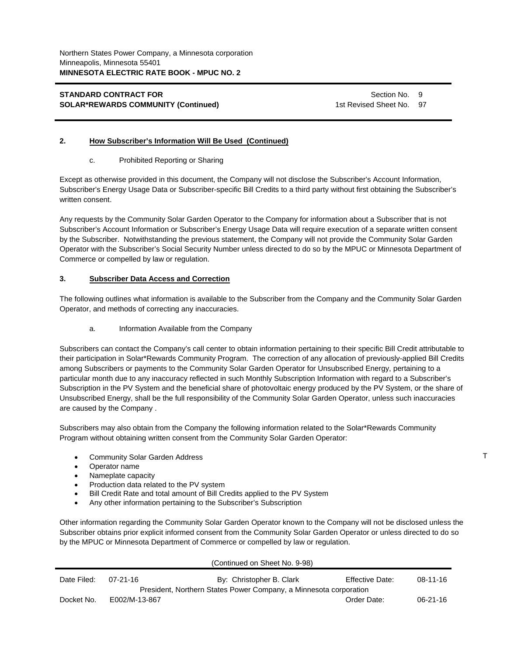Section No. 9 1st Revised Sheet No. 97

## **2. How Subscriber's Information Will Be Used (Continued)**

### c. Prohibited Reporting or Sharing

Except as otherwise provided in this document, the Company will not disclose the Subscriber's Account Information, Subscriber's Energy Usage Data or Subscriber-specific Bill Credits to a third party without first obtaining the Subscriber's written consent.

Any requests by the Community Solar Garden Operator to the Company for information about a Subscriber that is not Subscriber's Account Information or Subscriber's Energy Usage Data will require execution of a separate written consent by the Subscriber. Notwithstanding the previous statement, the Company will not provide the Community Solar Garden Operator with the Subscriber's Social Security Number unless directed to do so by the MPUC or Minnesota Department of Commerce or compelled by law or regulation.

## **3. Subscriber Data Access and Correction**

The following outlines what information is available to the Subscriber from the Company and the Community Solar Garden Operator, and methods of correcting any inaccuracies.

a. Information Available from the Company

Subscribers can contact the Company's call center to obtain information pertaining to their specific Bill Credit attributable to their participation in Solar\*Rewards Community Program. The correction of any allocation of previously-applied Bill Credits among Subscribers or payments to the Community Solar Garden Operator for Unsubscribed Energy, pertaining to a particular month due to any inaccuracy reflected in such Monthly Subscription Information with regard to a Subscriber's Subscription in the PV System and the beneficial share of photovoltaic energy produced by the PV System, or the share of Unsubscribed Energy, shall be the full responsibility of the Community Solar Garden Operator, unless such inaccuracies are caused by the Company .

Subscribers may also obtain from the Company the following information related to the Solar\*Rewards Community Program without obtaining written consent from the Community Solar Garden Operator:

- Community Solar Garden Address
- Operator name
- Nameplate capacity
- Production data related to the PV system
- Bill Credit Rate and total amount of Bill Credits applied to the PV System
- Any other information pertaining to the Subscriber's Subscription

Other information regarding the Community Solar Garden Operator known to the Company will not be disclosed unless the Subscriber obtains prior explicit informed consent from the Community Solar Garden Operator or unless directed to do so by the MPUC or Minnesota Department of Commerce or compelled by law or regulation.

|             |               | (Continued on Sheet No. 9-98)                                     |                        |                |
|-------------|---------------|-------------------------------------------------------------------|------------------------|----------------|
| Date Filed: | 07-21-16      | By: Christopher B. Clark                                          | <b>Effective Date:</b> | $08 - 11 - 16$ |
|             |               | President, Northern States Power Company, a Minnesota corporation |                        |                |
| Docket No.  | E002/M-13-867 |                                                                   | Order Date:            | $06 - 21 - 16$ |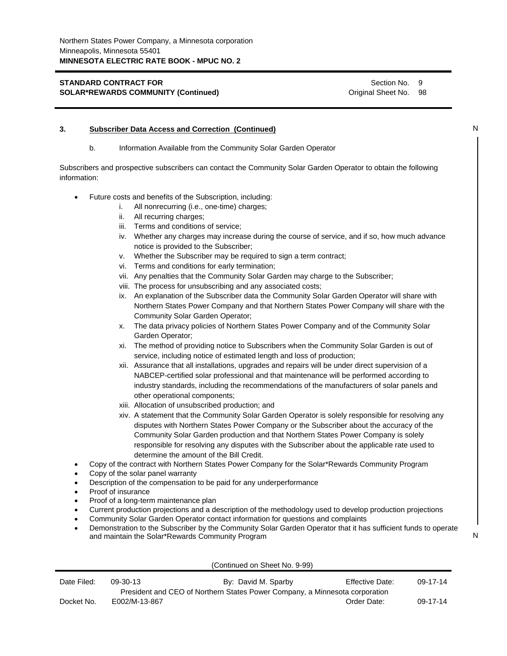Section No. 9 Original Sheet No. 98

|              | b.                 | Information Available from the Community Solar Garden Operator                                                                                                                                     |   |
|--------------|--------------------|----------------------------------------------------------------------------------------------------------------------------------------------------------------------------------------------------|---|
| information: |                    | Subscribers and prospective subscribers can contact the Community Solar Garden Operator to obtain the following                                                                                    |   |
|              |                    | Future costs and benefits of the Subscription, including:                                                                                                                                          |   |
|              | i.                 | All nonrecurring (i.e., one-time) charges;                                                                                                                                                         |   |
|              |                    | ii. All recurring charges;                                                                                                                                                                         |   |
|              |                    | Terms and conditions of service;<br>Ш.                                                                                                                                                             |   |
|              |                    | iv. Whether any charges may increase during the course of service, and if so, how much advance<br>notice is provided to the Subscriber;                                                            |   |
|              |                    | Whether the Subscriber may be required to sign a term contract;<br>v.                                                                                                                              |   |
|              |                    | vi. Terms and conditions for early termination;                                                                                                                                                    |   |
|              |                    | vii. Any penalties that the Community Solar Garden may charge to the Subscriber;                                                                                                                   |   |
|              |                    | viii. The process for unsubscribing and any associated costs;                                                                                                                                      |   |
|              |                    | ix. An explanation of the Subscriber data the Community Solar Garden Operator will share with                                                                                                      |   |
|              |                    | Northern States Power Company and that Northern States Power Company will share with the                                                                                                           |   |
|              |                    | Community Solar Garden Operator;                                                                                                                                                                   |   |
|              |                    | The data privacy policies of Northern States Power Company and of the Community Solar<br>х.                                                                                                        |   |
|              |                    | Garden Operator;                                                                                                                                                                                   |   |
|              |                    | xi. The method of providing notice to Subscribers when the Community Solar Garden is out of                                                                                                        |   |
|              |                    | service, including notice of estimated length and loss of production;                                                                                                                              |   |
|              |                    | xii. Assurance that all installations, upgrades and repairs will be under direct supervision of a                                                                                                  |   |
|              |                    | NABCEP-certified solar professional and that maintenance will be performed according to                                                                                                            |   |
|              |                    | industry standards, including the recommendations of the manufacturers of solar panels and                                                                                                         |   |
|              |                    | other operational components;                                                                                                                                                                      |   |
|              |                    | xiii. Allocation of unsubscribed production; and<br>xiv. A statement that the Community Solar Garden Operator is solely responsible for resolving any                                              |   |
|              |                    | disputes with Northern States Power Company or the Subscriber about the accuracy of the                                                                                                            |   |
|              |                    | Community Solar Garden production and that Northern States Power Company is solely                                                                                                                 |   |
|              |                    | responsible for resolving any disputes with the Subscriber about the applicable rate used to                                                                                                       |   |
|              |                    | determine the amount of the Bill Credit.                                                                                                                                                           |   |
|              |                    | Copy of the contract with Northern States Power Company for the Solar*Rewards Community Program                                                                                                    |   |
|              |                    | Copy of the solar panel warranty                                                                                                                                                                   |   |
| ٠            |                    | Description of the compensation to be paid for any underperformance                                                                                                                                |   |
|              | Proof of insurance |                                                                                                                                                                                                    |   |
|              |                    | Proof of a long-term maintenance plan                                                                                                                                                              |   |
|              |                    | Current production projections and a description of the methodology used to develop production projections                                                                                         |   |
|              |                    | Community Solar Garden Operator contact information for questions and complaints<br>Demonstration to the Subscriber by the Community Solar Garden Operator that it has sufficient funds to operate |   |
|              |                    | and maintain the Solar*Rewards Community Program                                                                                                                                                   | N |
|              |                    |                                                                                                                                                                                                    |   |
|              |                    | (Continued on Sheet No. 9-99)                                                                                                                                                                      |   |

| Date Filed: | 09-30-13      | By: David M. Sparby                                                         | Effective Date: | 09-17-14 |
|-------------|---------------|-----------------------------------------------------------------------------|-----------------|----------|
|             |               | President and CEO of Northern States Power Company, a Minnesota corporation |                 |          |
| Docket No.  | E002/M-13-867 |                                                                             | Order Date:     | 09-17-14 |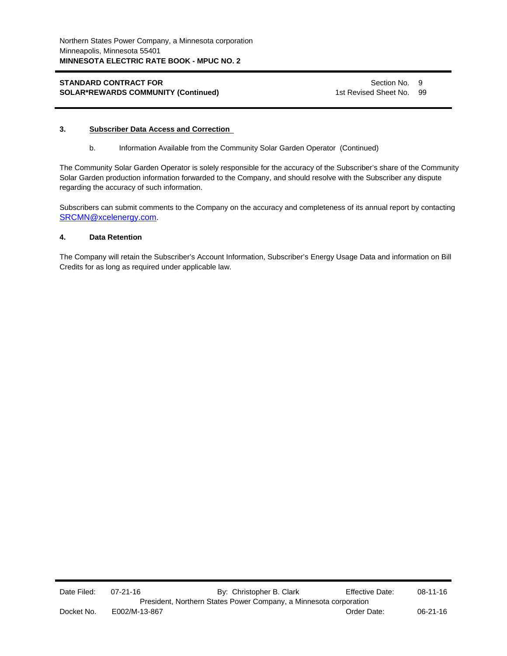Section No. 9 1st Revised Sheet No. 99

## **3. Subscriber Data Access and Correction**

b. Information Available from the Community Solar Garden Operator (Continued)

The Community Solar Garden Operator is solely responsible for the accuracy of the Subscriber's share of the Community Solar Garden production information forwarded to the Company, and should resolve with the Subscriber any dispute regarding the accuracy of such information.

Subscribers can submit comments to the Company on the accuracy and completeness of its annual report by contacting SRCMN@xcelenergy.com.

# **4. Data Retention**

The Company will retain the Subscriber's Account Information, Subscriber's Energy Usage Data and information on Bill Credits for as long as required under applicable law.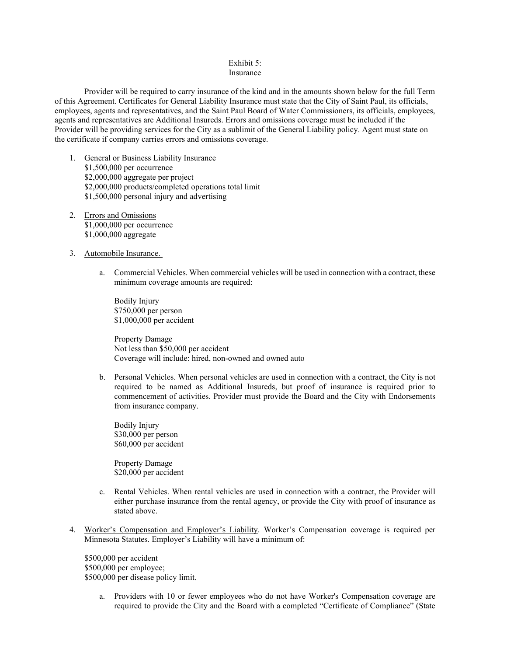#### Exhibit 5: Insurance

Provider will be required to carry insurance of the kind and in the amounts shown below for the full Term of this Agreement. Certificates for General Liability Insurance must state that the City of Saint Paul, its officials, employees, agents and representatives, and the Saint Paul Board of Water Commissioners, its officials, employees, agents and representatives are Additional Insureds. Errors and omissions coverage must be included if the Provider will be providing services for the City as a sublimit of the General Liability policy. Agent must state on the certificate if company carries errors and omissions coverage.

- 1. General or Business Liability Insurance \$1,500,000 per occurrence \$2,000,000 aggregate per project \$2,000,000 products/completed operations total limit \$1,500,000 personal injury and advertising
- 2. Errors and Omissions \$1,000,000 per occurrence \$1,000,000 aggregate
- 3. Automobile Insurance.
	- a. Commercial Vehicles. When commercial vehicles will be used in connection with a contract, these minimum coverage amounts are required:

Bodily Injury \$750,000 per person \$1,000,000 per accident

Property Damage Not less than \$50,000 per accident Coverage will include: hired, non-owned and owned auto

b. Personal Vehicles. When personal vehicles are used in connection with a contract, the City is not required to be named as Additional Insureds, but proof of insurance is required prior to commencement of activities. Provider must provide the Board and the City with Endorsements from insurance company.

Bodily Injury \$30,000 per person \$60,000 per accident

Property Damage \$20,000 per accident

- c. Rental Vehicles. When rental vehicles are used in connection with a contract, the Provider will either purchase insurance from the rental agency, or provide the City with proof of insurance as stated above.
- 4. Worker's Compensation and Employer's Liability. Worker's Compensation coverage is required per Minnesota Statutes. Employer's Liability will have a minimum of:

\$500,000 per accident \$500,000 per employee; \$500,000 per disease policy limit.

> a. Providers with 10 or fewer employees who do not have Worker's Compensation coverage are required to provide the City and the Board with a completed "Certificate of Compliance" (State